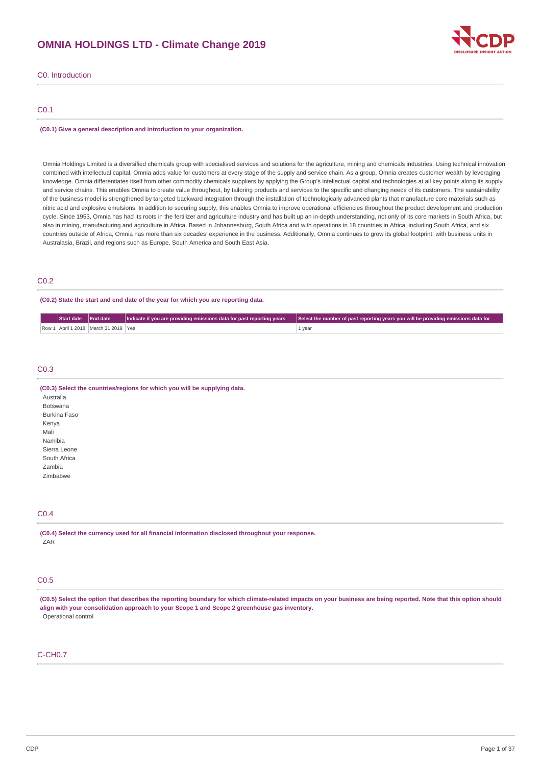# **OMNIA HOLDINGS LTD - Climate Change 2019**



C0. Introduction

# C0.1

#### **(C0.1) Give a general description and introduction to your organization.**

Omnia Holdings Limited is a diversified chemicals group with specialised services and solutions for the agriculture, mining and chemicals industries. Using technical innovation combined with intellectual capital, Omnia adds value for customers at every stage of the supply and service chain. As a group, Omnia creates customer wealth by leveraging knowledge. Omnia differentiates itself from other commodity chemicals suppliers by applying the Group's intellectual capital and technologies at all key points along its supply and service chains. This enables Omnia to create value throughout, by tailoring products and services to the specific and changing needs of its customers. The sustainability of the business model is strengthened by targeted backward integration through the installation of technologically advanced plants that manufacture core materials such as nitric acid and explosive emulsions. In addition to securing supply, this enables Omnia to improve operational efficiencies throughout the product development and production cycle. Since 1953, Omnia has had its roots in the fertilizer and agriculture industry and has built up an in-depth understanding, not only of its core markets in South Africa, but also in mining, manufacturing and agriculture in Africa. Based in Johannesburg, South Africa and with operations in 18 countries in Africa, including South Africa, and six countries outside of Africa, Omnia has more than six decades' experience in the business. Additionally, Omnia continues to grow its global footprint, with business units in Australasia, Brazil, and regions such as Europe, South America and South East Asia.

## C0.2

#### **(C0.2) State the start and end date of the year for which you are reporting data.**

| Start date End date |                                          | Indicate if you are providing emissions data for past reporting years | Select the number of past reporting years you will be providing emissions data for |
|---------------------|------------------------------------------|-----------------------------------------------------------------------|------------------------------------------------------------------------------------|
|                     | Row 1 April 1 2018   March 31 2019   Yes |                                                                       | 1 year                                                                             |

### C0.3

#### **(C0.3) Select the countries/regions for which you will be supplying data.**

Australia Botswana Burkina Faso Kenya Mali Namibia Sierra Leone South Africa Zambia Zimbabwe

# C0.4

**(C0.4) Select the currency used for all financial information disclosed throughout your response.** ZAR

### C0.5

(C0.5) Select the option that describes the reporting boundary for which climate-related impacts on your business are being reported. Note that this option should **align with your consolidation approach to your Scope 1 and Scope 2 greenhouse gas inventory.** Operational control

## C-CH0.7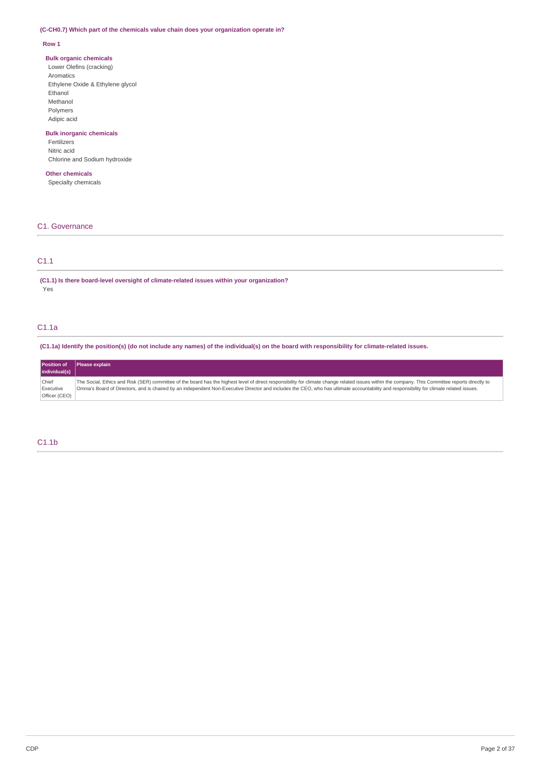### **(C-CH0.7) Which part of the chemicals value chain does your organization operate in?**

### **Row 1**

### **Bulk organic chemicals**

Lower Olefins (cracking) Aromatics Ethylene Oxide & Ethylene glycol Ethanol Methanol Polymers Adipic acid

# **Bulk inorganic chemicals**

Fertilizers Nitric acid Chlorine and Sodium hydroxide

# **Other chemicals**

Specialty chemicals

# C1. Governance

# C1.1

**(C1.1) Is there board-level oversight of climate-related issues within your organization?** Yes

# C1.1a

(C1.1a) Identify the position(s) (do not include any names) of the individual(s) on the board with responsibility for climate-related issues.

| <b>Position of</b> | <b>Please explain</b>                                                                                                                                                                            |
|--------------------|--------------------------------------------------------------------------------------------------------------------------------------------------------------------------------------------------|
| individual(s)      |                                                                                                                                                                                                  |
| Chief              | The Social, Ethics and Risk (SER) committee of the board has the highest level of direct responsibility for climate change related issues within the company. This Committee reports directly to |
| Executive          | Omnia's Board of Directors, and is chaired by an independent Non-Executive Director and includes the CEO, who has ultimate accountability and responsibility for climate related issues.         |
| Officer (CEO)      |                                                                                                                                                                                                  |

# C1.1b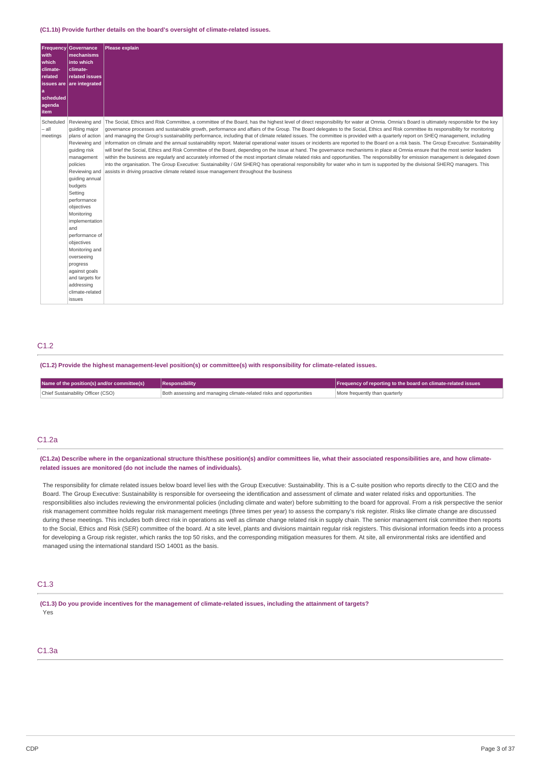**(C1.1b) Provide further details on the board's oversight of climate-related issues.**

| with<br>which<br>climate-<br>related<br>a<br>scheduled<br>agenda<br>item | <b>Frequency Governance</b><br>mechanisms<br>into which<br>climate-<br>related issues<br><b>issues are are integrated</b>                                                                                                                                                                                                                                                                            | Please explain                                                                                                                                                                                                                                                                                                                                                                                                                                                                                                                                                                                                                                                                                                                                                                                                                                                                                                                                                                                                                                                                                                                                                                                                                                                                                                                                                                                                     |
|--------------------------------------------------------------------------|------------------------------------------------------------------------------------------------------------------------------------------------------------------------------------------------------------------------------------------------------------------------------------------------------------------------------------------------------------------------------------------------------|--------------------------------------------------------------------------------------------------------------------------------------------------------------------------------------------------------------------------------------------------------------------------------------------------------------------------------------------------------------------------------------------------------------------------------------------------------------------------------------------------------------------------------------------------------------------------------------------------------------------------------------------------------------------------------------------------------------------------------------------------------------------------------------------------------------------------------------------------------------------------------------------------------------------------------------------------------------------------------------------------------------------------------------------------------------------------------------------------------------------------------------------------------------------------------------------------------------------------------------------------------------------------------------------------------------------------------------------------------------------------------------------------------------------|
| Scheduled<br>– all<br>meetings                                           | Reviewing and<br>quiding major<br>plans of action<br>Reviewing and<br>quiding risk<br>management<br>policies<br>Reviewing and<br>quiding annual<br>budgets<br>Setting<br>performance<br>objectives<br>Monitoring<br>implementation<br>and<br>performance of<br>objectives<br>Monitoring and<br>overseeing<br>progress<br>against goals<br>and targets for<br>addressing<br>climate-related<br>issues | The Social, Ethics and Risk Committee, a committee of the Board, has the highest level of direct responsibility for water at Omnia. Omnia's Board is ultimately responsible for the key<br>governance processes and sustainable growth, performance and affairs of the Group. The Board delegates to the Social, Ethics and Risk committee its responsibility for monitoring<br>and managing the Group's sustainability performance, including that of climate related issues. The committee is provided with a quarterly report on SHEO management, including<br>information on climate and the annual sustainability report. Material operational water issues or incidents are reported to the Board on a risk basis. The Group Executive: Sustainability<br>will brief the Social, Ethics and Risk Committee of the Board, depending on the issue at hand. The governance mechanisms in place at Omnia ensure that the most senior leaders<br>within the business are regularly and accurately informed of the most important climate related risks and opportunities. The responsibility for emission management is delegated down<br>into the organisation. The Group Executive: Sustainability / GM SHERQ has operational responsibility for water who in turn is supported by the divisional SHERQ managers. This<br>assists in driving proactive climate related issue management throughout the business |

# C<sub>12</sub>

**(C1.2) Provide the highest management-level position(s) or committee(s) with responsibility for climate-related issues.**

| Name of the position(s) and/or committee(s) | Responsibility                                                      | <b>Frequency of reporting to the board on climate-related issues</b> |  |
|---------------------------------------------|---------------------------------------------------------------------|----------------------------------------------------------------------|--|
| Chief Sustainability Officer (CSO)          | Both assessing and managing climate-related risks and opportunities | More frequently than quarterly                                       |  |

### C1.2a

(C1.2a) Describe where in the organizational structure this/these position(s) and/or committees lie, what their associated responsibilities are, and how climate**related issues are monitored (do not include the names of individuals).**

The responsibility for climate related issues below board level lies with the Group Executive: Sustainability. This is a C-suite position who reports directly to the CEO and the Board. The Group Executive: Sustainability is responsible for overseeing the identification and assessment of climate and water related risks and opportunities. The responsibilities also includes reviewing the environmental policies (including climate and water) before submitting to the board for approval. From a risk perspective the senior risk management committee holds regular risk management meetings (three times per year) to assess the company's risk register. Risks like climate change are discussed during these meetings. This includes both direct risk in operations as well as climate change related risk in supply chain. The senior management risk committee then reports to the Social, Ethics and Risk (SER) committee of the board. At a site level, plants and divisions maintain regular risk registers. This divisional information feeds into a process for developing a Group risk register, which ranks the top 50 risks, and the corresponding mitigation measures for them. At site, all environmental risks are identified and managed using the international standard ISO 14001 as the basis.

## C1.3

(C1.3) Do you provide incentives for the management of climate-related issues, including the attainment of targets? Yes

# C1.3a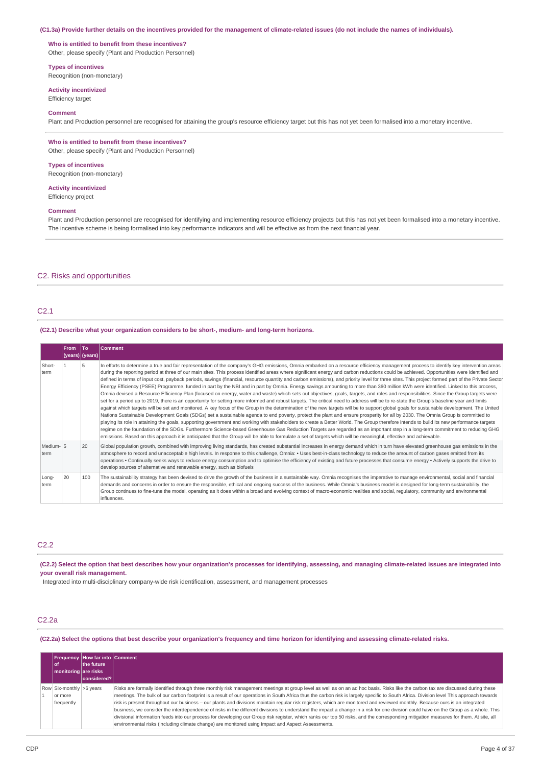#### (C1.3a) Provide further details on the incentives provided for the management of climate-related issues (do not include the names of individuals).

### **Who is entitled to benefit from these incentives?**

Other, please specify (Plant and Production Personnel)

#### **Types of incentives**

Recognition (non-monetary)

# **Activity incentivized**

Efficiency target

#### **Comment**

Plant and Production personnel are recognised for attaining the group's resource efficiency target but this has not yet been formalised into a monetary incentive.

#### **Who is entitled to benefit from these incentives?**

Other, please specify (Plant and Production Personnel)

#### **Types of incentives**

Recognition (non-monetary)

**Activity incentivized** Efficiency project

#### **Comment**

Plant and Production personnel are recognised for identifying and implementing resource efficiency projects but this has not yet been formalised into a monetary incentive. The incentive scheme is being formalised into key performance indicators and will be effective as from the next financial year.

### C2. Risks and opportunities

### C2.1

#### **(C2.1) Describe what your organization considers to be short-, medium- and long-term horizons.**

|                   | <b>From</b><br>(years)   (years) | <b>To</b> | Comment                                                                                                                                                                                                                                                                                                                                                                                                                                                                                                                                                                                                                                                                                                                                                                                                                                                                                                                                                                                                                                                                                                                                                                                                                                                                                                                                                                                                                                                                                                                                                                                                                                                                                                                                                                                                                                                                                                                                                                                                                                                                                         |
|-------------------|----------------------------------|-----------|-------------------------------------------------------------------------------------------------------------------------------------------------------------------------------------------------------------------------------------------------------------------------------------------------------------------------------------------------------------------------------------------------------------------------------------------------------------------------------------------------------------------------------------------------------------------------------------------------------------------------------------------------------------------------------------------------------------------------------------------------------------------------------------------------------------------------------------------------------------------------------------------------------------------------------------------------------------------------------------------------------------------------------------------------------------------------------------------------------------------------------------------------------------------------------------------------------------------------------------------------------------------------------------------------------------------------------------------------------------------------------------------------------------------------------------------------------------------------------------------------------------------------------------------------------------------------------------------------------------------------------------------------------------------------------------------------------------------------------------------------------------------------------------------------------------------------------------------------------------------------------------------------------------------------------------------------------------------------------------------------------------------------------------------------------------------------------------------------|
| Short-<br>term    |                                  |           | In efforts to determine a true and fair representation of the company's GHG emissions, Omnia embarked on a resource efficiency management process to identify key intervention areas<br>during the reporting period at three of our main sites. This process identified areas where significant energy and carbon reductions could be achieved. Opportunities were identified and<br>defined in terms of input cost, payback periods, savings (financial, resource quantity and carbon emissions), and priority level for three sites. This project formed part of the Private Sector<br>Energy Efficiency (PSEE) Programme, funded in part by the NBI and in part by Omnia. Energy savings amounting to more than 360 million kWh were identified. Linked to this process,<br>Omnia devised a Resource Efficiency Plan (focused on energy, water and waste) which sets out objectives, goals, targets, and roles and responsibilities. Since the Group targets were<br>set for a period up to 2019, there is an opportunity for setting more informed and robust targets. The critical need to address will be to re-state the Group's baseline year and limits<br>against which targets will be set and monitored. A key focus of the Group in the determination of the new targets will be to support global goals for sustainable development. The United<br>Nations Sustainable Development Goals (SDGs) set a sustainable agenda to end poverty, protect the plant and ensure prosperity for all by 2030. The Omnia Group is committed to<br>playing its role in attaining the goals, supporting government and working with stakeholders to create a Better World. The Group therefore intends to build its new performance targets<br>regime on the foundation of the SDGs. Furthermore Science-based Greenhouse Gas Reduction Targets are regarded as an important step in a long-term commitment to reducing GHG<br>emissions. Based on this approach it is anticipated that the Group will be able to formulate a set of targets which will be meaningful, effective and achievable. |
| Medium-15<br>term |                                  | 20        | Global population growth, combined with improving living standards, has created substantial increases in energy demand which in turn have elevated greenhouse gas emissions in the<br>atmosphere to record and unacceptable high levels. In response to this challenge, Omnia: • Uses best-in-class technology to reduce the amount of carbon gases emitted from its<br>operations . Continually seeks ways to reduce energy consumption and to optimise the efficiency of existing and future processes that consume energy . Actively supports the drive to<br>develop sources of alternative and renewable energy, such as biofuels                                                                                                                                                                                                                                                                                                                                                                                                                                                                                                                                                                                                                                                                                                                                                                                                                                                                                                                                                                                                                                                                                                                                                                                                                                                                                                                                                                                                                                                          |
| Long-<br>term     | 20                               | 100       | The sustainability strategy has been devised to drive the growth of the business in a sustainable way. Omnia recognises the imperative to manage environmental, social and financial<br>demands and concerns in order to ensure the responsible, ethical and ongoing success of the business. While Omnia's business model is designed for long-term sustainability, the<br>Group continues to fine-tune the model, operating as it does within a broad and evolving context of macro-economic realities and social, regulatory, community and environmental<br>influences.                                                                                                                                                                                                                                                                                                                                                                                                                                                                                                                                                                                                                                                                                                                                                                                                                                                                                                                                                                                                                                                                                                                                                                                                                                                                                                                                                                                                                                                                                                                     |

### $C2.2$

(C2.2) Select the option that best describes how your organization's processes for identifying, assessing, and managing climate-related issues are integrated into **your overall risk management.**

Integrated into multi-disciplinary company-wide risk identification, assessment, and management processes

### C2.2a

(C2.2a) Select the options that best describe your organization's frequency and time horizon for identifying and assessing climate-related risks.

|                                                                   | <b>Frequency   How far into   Comment</b> |                                                                                                                                                                                                                                                                                                                                                                                                                                                                                                                                                                                                                                                                                                                                                                                                                                                                                                                                                                                                                                               |
|-------------------------------------------------------------------|-------------------------------------------|-----------------------------------------------------------------------------------------------------------------------------------------------------------------------------------------------------------------------------------------------------------------------------------------------------------------------------------------------------------------------------------------------------------------------------------------------------------------------------------------------------------------------------------------------------------------------------------------------------------------------------------------------------------------------------------------------------------------------------------------------------------------------------------------------------------------------------------------------------------------------------------------------------------------------------------------------------------------------------------------------------------------------------------------------|
| l of<br>  monitoring are risks                                    | the future                                |                                                                                                                                                                                                                                                                                                                                                                                                                                                                                                                                                                                                                                                                                                                                                                                                                                                                                                                                                                                                                                               |
|                                                                   | considered?                               |                                                                                                                                                                                                                                                                                                                                                                                                                                                                                                                                                                                                                                                                                                                                                                                                                                                                                                                                                                                                                                               |
| Row $\vert$ Six-monthly $\vert$ >6 years<br>or more<br>frequently |                                           | Risks are formally identified through three monthly risk management meetings at group level as well as on an ad hoc basis. Risks like the carbon tax are discussed during these<br>meetings. The bulk of our carbon footprint is a result of our operations in South Africa thus the carbon risk is largely specific to South Africa. Division level This approach towards<br>risk is present throughout our business – our plants and divisions maintain regular risk registers, which are monitored and reviewed monthly. Because ours is an integrated<br>business, we consider the interdependence of risks in the different divisions to understand the impact a change in a risk for one division could have on the Group as a whole. This<br>divisional information feeds into our process for developing our Group risk register, which ranks our top 50 risks, and the corresponding mitigation measures for them. At site, all<br>environmental risks (including climate change) are monitored using Impact and Aspect Assessments. |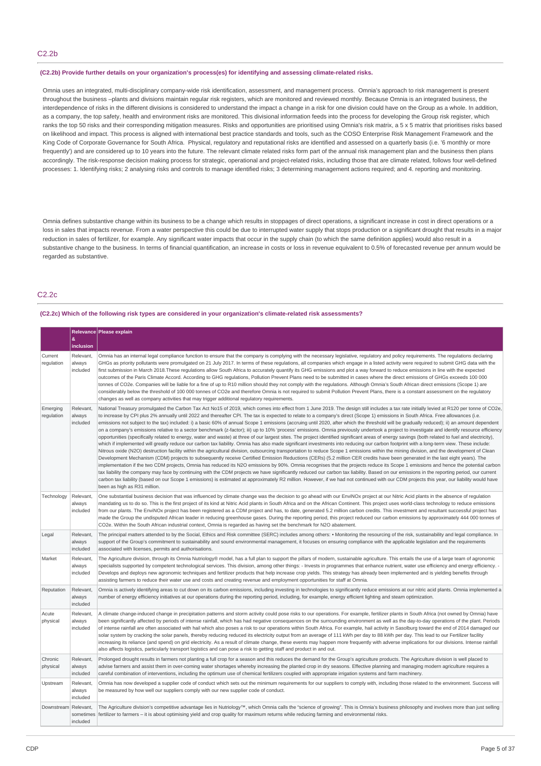#### **(C2.2b) Provide further details on your organization's process(es) for identifying and assessing climate-related risks.**

Omnia uses an integrated, multi-disciplinary company-wide risk identification, assessment, and management process. Omnia's approach to risk management is present throughout the business –plants and divisions maintain regular risk registers, which are monitored and reviewed monthly. Because Omnia is an integrated business, the interdependence of risks in the different divisions is considered to understand the impact a change in a risk for one division could have on the Group as a whole. In addition, as a company, the top safety, health and environment risks are monitored. This divisional information feeds into the process for developing the Group risk register, which ranks the top 50 risks and their corresponding mitigation measures. Risks and opportunities are prioritised using Omnia's risk matrix, a 5 x 5 matrix that prioritises risks based on likelihood and impact. This process is aligned with international best practice standards and tools, such as the COSO Enterprise Risk Management Framework and the King Code of Corporate Governance for South Africa. Physical, regulatory and reputational risks are identified and assessed on a quarterly basis (i.e. '6 monthly or more frequently') and are considered up to 10 years into the future. The relevant climate related risks form part of the annual risk management plan and the business then plans accordingly. The risk-response decision making process for strategic, operational and project-related risks, including those that are climate related, follows four well-defined processes: 1. Identifying risks; 2 analysing risks and controls to manage identified risks; 3 determining management actions required; and 4. reporting and monitoring.

Omnia defines substantive change within its business to be a change which results in stoppages of direct operations, a significant increase in cost in direct operations or a loss in sales that impacts revenue. From a water perspective this could be due to interrupted water supply that stops production or a significant drought that results in a major reduction in sales of fertilizer, for example. Any significant water impacts that occur in the supply chain (to which the same definition applies) would also result in a substantive change to the business. In terms of financial quantification, an increase in costs or loss in revenue equivalent to 0.5% of forecasted revenue per annum would be regarded as substantive.

# C2.2c

### **(C2.2c) Which of the following risk types are considered in your organization's climate-related risk assessments?**

|                        | &<br>inclusion                  | Relevance Please explain                                                                                                                                                                                                                                                                                                                                                                                                                                                                                                                                                                                                                                                                                                                                                                                                                                                                                                                                                                                                                                                                                                                                                                                                                                                                                                                                                                                                                                                                                                                                                                                                                                                                                                                                                                                                                                                                                                                                                                                                                                                                                                                                                     |  |
|------------------------|---------------------------------|------------------------------------------------------------------------------------------------------------------------------------------------------------------------------------------------------------------------------------------------------------------------------------------------------------------------------------------------------------------------------------------------------------------------------------------------------------------------------------------------------------------------------------------------------------------------------------------------------------------------------------------------------------------------------------------------------------------------------------------------------------------------------------------------------------------------------------------------------------------------------------------------------------------------------------------------------------------------------------------------------------------------------------------------------------------------------------------------------------------------------------------------------------------------------------------------------------------------------------------------------------------------------------------------------------------------------------------------------------------------------------------------------------------------------------------------------------------------------------------------------------------------------------------------------------------------------------------------------------------------------------------------------------------------------------------------------------------------------------------------------------------------------------------------------------------------------------------------------------------------------------------------------------------------------------------------------------------------------------------------------------------------------------------------------------------------------------------------------------------------------------------------------------------------------|--|
| Current<br>regulation  | Relevant,<br>always<br>included | Omnia has an internal legal compliance function to ensure that the company is complying with the necessary legislative, regulatory and policy requirements. The regulations declaring<br>GHGs as priority pollutants were promulgated on 21 July 2017. In terms of these regulations, all companies which engage in a listed activity were required to submit GHG data with the<br>first submission in March 2018. These regulations allow South Africa to accurately quantify its GHG emissions and plot a way forward to reduce emissions in line with the expected<br>outcomes of the Paris Climate Accord. According to GHG regulations, Pollution Prevent Plans need to be submitted in cases where the direct emissions of GHGs exceeds 100 000<br>tonnes of CO2e. Companies will be liable for a fine of up to R10 million should they not comply with the regulations. Although Omnia's South African direct emissions (Scope 1) are<br>considerably below the threshold of 100 000 tonnes of CO2e and therefore Omnia is not required to submit Pollution Prevent Plans, there is a constant assessment on the regulatory<br>changes as well as company activities that may trigger additional regulatory requirements.                                                                                                                                                                                                                                                                                                                                                                                                                                                                                                                                                                                                                                                                                                                                                                                                                                                                                                                                             |  |
| Emerging<br>regulation | Relevant,<br>always<br>included | National Treasury promulgated the Carbon Tax Act No15 of 2019, which comes into effect from 1 June 2019. The design still includes a tax rate initially levied at R120 per tonne of CO2e,<br>to increase by CPI plus 2% annually until 2022 and thereafter CPI. The tax is expected to relate to a company's direct (Scope 1) emissions in South Africa. Free allowances (i.e.<br>emissions not subject to the tax) included: i) a basic 60% of annual Scope 1 emissions (accruing until 2020, after which the threshold will be gradually reduced); ii) an amount dependent<br>on a company's emissions relative to a sector benchmark (z-factor); iii) up to 10% 'process' emissions. Omnia previously undertook a project to investigate and identify resource efficiency<br>opportunities (specifically related to energy, water and waste) at three of our largest sites. The project identified significant areas of energy savings (both related to fuel and electricity),<br>which if implemented will greatly reduce our carbon tax liability. Omnia has also made significant investments into reducing our carbon footprint with a long-term view. These include:<br>Nitrous oxide (N2O) destruction facility within the agricultural division, outsourcing transportation to reduce Scope 1 emissions within the mining division, and the development of Clean<br>Development Mechanism (CDM) projects to subsequently receive Certified Emission Reductions (CERs) (5.2 million CER credits have been generated in the last eight years). The<br>implementation if the two CDM projects, Omnia has reduced its N2O emissions by 90%. Omnia recognises that the projects reduce its Scope 1 emissions and hence the potential carbon<br>tax liability the company may face by continuing with the CDM projects we have significantly reduced our carbon tax liability. Based on our emissions in the reporting period, our current<br>carbon tax liability (based on our Scope 1 emissions) is estimated at approximately R2 million. However, if we had not continued with our CDM projects this year, our liability would have<br>been as high as R31 million. |  |
| Technology             | Relevant.<br>always<br>included | One substantial business decision that was influenced by climate change was the decision to go ahead with our EnviNOx project at our Nitric Acid plants in the absence of regulation<br>mandating us to do so. This is the first project of its kind at Nitric Acid plants in South Africa and on the African Continent. This project uses world-class technology to reduce emissions<br>from our plants. The EnviNOx project has been registered as a CDM project and has, to date, generated 5.2 million carbon credits. This investment and resultant successful project has<br>made the Group the undisputed African leader in reducing greenhouse gases. During the reporting period, this project reduced our carbon emissions by approximately 444 000 tonnes of<br>CO2e. Within the South African industrial context, Omnia is regarded as having set the benchmark for N2O abatement.                                                                                                                                                                                                                                                                                                                                                                                                                                                                                                                                                                                                                                                                                                                                                                                                                                                                                                                                                                                                                                                                                                                                                                                                                                                                               |  |
| Legal                  | Relevant,<br>always<br>included | The principal matters attended to by the Social, Ethics and Risk committee (SERC) includes among others: • Monitoring the resourcing of the risk, sustainability and legal compliance. In<br>support of the Group's commitment to sustainability and sound environmental management, it focuses on ensuring compliance with the applicable legislation and the requirements<br>associated with licenses, permits and authorisations.                                                                                                                                                                                                                                                                                                                                                                                                                                                                                                                                                                                                                                                                                                                                                                                                                                                                                                                                                                                                                                                                                                                                                                                                                                                                                                                                                                                                                                                                                                                                                                                                                                                                                                                                         |  |
| Market                 | Relevant,<br>always<br>included | The Agriculture division, through its Omnia Nutriology® model, has a full plan to support the pillars of modern, sustainable agriculture. This entails the use of a large team of agronomic<br>specialists supported by competent technological services. This division, among other things: - Invests in programmes that enhance nutrient, water use efficiency and energy efficiency. -<br>Develops and deploys new agronomic techniques and fertilizer products that help increase crop yields. This strategy has already been implemented and is yielding benefits through<br>assisting farmers to reduce their water use and costs and creating revenue and employment opportunities for staff at Omnia.                                                                                                                                                                                                                                                                                                                                                                                                                                                                                                                                                                                                                                                                                                                                                                                                                                                                                                                                                                                                                                                                                                                                                                                                                                                                                                                                                                                                                                                                |  |
| Reputation             | Relevant,<br>always<br>included | Omnia is actively identifying areas to cut down on its carbon emissions, including investing in technologies to significantly reduce emissions at our nitric acid plants. Omnia implemented a<br>number of energy efficiency initiatives at our operations during the reporting period, including, for example, energy efficient lighting and steam optimization.                                                                                                                                                                                                                                                                                                                                                                                                                                                                                                                                                                                                                                                                                                                                                                                                                                                                                                                                                                                                                                                                                                                                                                                                                                                                                                                                                                                                                                                                                                                                                                                                                                                                                                                                                                                                            |  |
| Acute<br>physical      | Relevant,<br>always<br>included | A climate change-induced change in precipitation patterns and storm activity could pose risks to our operations. For example, fertilizer plants in South Africa (not owned by Omnia) have<br>been significantly affected by periods of intense rainfall, which has had negative consequences on the surrounding environment as well as the day-to-day operations of the plant. Periods<br>of intense rainfall are often associated with hail which also poses a risk to our operations within South Africa. For example, hail activity in Sasolburg toward the end of 2014 damaged our<br>solar system by cracking the solar panels, thereby reducing reduced its electricity output from an average of 111 kWh per day to 88 kWh per day. This lead to our Fertilizer facility<br>increasing its reliance (and spend) on grid electricity. As a result of climate change, these events may happen more frequently with adverse implications for our divisions. Intense rainfall<br>also affects logistics, particularly transport logistics and can pose a risk to getting staff and product in and out.                                                                                                                                                                                                                                                                                                                                                                                                                                                                                                                                                                                                                                                                                                                                                                                                                                                                                                                                                                                                                                                                    |  |
| Chronic<br>physical    | Relevant,<br>always<br>included | Prolonged drought results in farmers not planting a full crop for a season and this reduces the demand for the Group's agriculture products. The Agriculture division is well placed to<br>advise farmers and assist them in over-coming water shortages whereby increasing the planted crop in dry seasons. Effective planning and managing modern agriculture requires a<br>careful combination of interventions, including the optimum use of chemical fertilizers coupled with appropriate irrigation systems and farm machinery.                                                                                                                                                                                                                                                                                                                                                                                                                                                                                                                                                                                                                                                                                                                                                                                                                                                                                                                                                                                                                                                                                                                                                                                                                                                                                                                                                                                                                                                                                                                                                                                                                                        |  |
| Upstream               | Relevant,<br>always<br>included | Omnia has now developed a supplier code of conduct which sets out the minimum requirements for our suppliers to comply with, including those related to the environment. Success will<br>be measured by how well our suppliers comply with our new supplier code of conduct.                                                                                                                                                                                                                                                                                                                                                                                                                                                                                                                                                                                                                                                                                                                                                                                                                                                                                                                                                                                                                                                                                                                                                                                                                                                                                                                                                                                                                                                                                                                                                                                                                                                                                                                                                                                                                                                                                                 |  |
| Downstream Relevant,   | sometimes<br>included           | The Agriculture division's competitive advantage lies in Nutriology™, which Omnia calls the "science of growing". This is Omnia's business philosophy and involves more than just selling<br>fertilizer to farmers - it is about optimising yield and crop quality for maximum returns while reducing farming and environmental risks.                                                                                                                                                                                                                                                                                                                                                                                                                                                                                                                                                                                                                                                                                                                                                                                                                                                                                                                                                                                                                                                                                                                                                                                                                                                                                                                                                                                                                                                                                                                                                                                                                                                                                                                                                                                                                                       |  |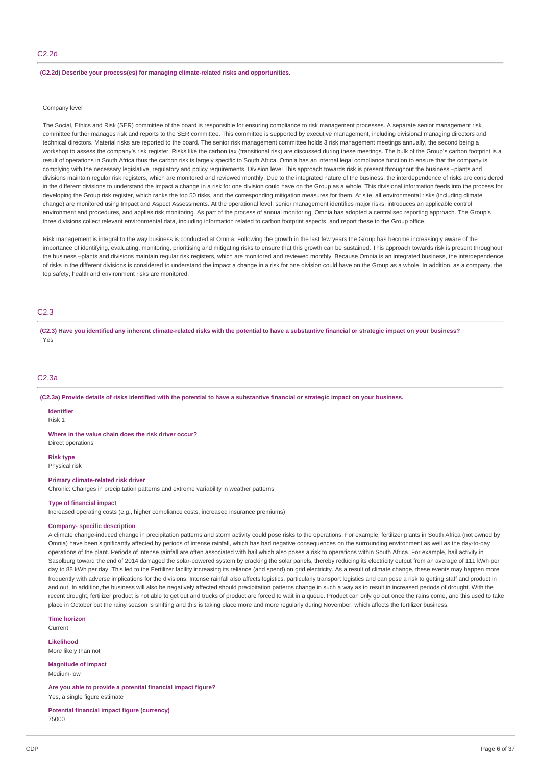#### **(C2.2d) Describe your process(es) for managing climate-related risks and opportunities.**

### Company level

The Social, Ethics and Risk (SER) committee of the board is responsible for ensuring compliance to risk management processes. A separate senior management risk committee further manages risk and reports to the SER committee. This committee is supported by executive management, including divisional managing directors and technical directors. Material risks are reported to the board. The senior risk management committee holds 3 risk management meetings annually, the second being a workshop to assess the company's risk register. Risks like the carbon tax (transitional risk) are discussed during these meetings. The bulk of the Group's carbon footprint is a result of operations in South Africa thus the carbon risk is largely specific to South Africa. Omnia has an internal legal compliance function to ensure that the company is complying with the necessary legislative, regulatory and policy requirements. Division level This approach towards risk is present throughout the business –plants and divisions maintain regular risk registers, which are monitored and reviewed monthly. Due to the integrated nature of the business, the interdependence of risks are considered in the different divisions to understand the impact a change in a risk for one division could have on the Group as a whole. This divisional information feeds into the process for developing the Group risk register, which ranks the top 50 risks, and the corresponding mitigation measures for them. At site, all environmental risks (including climate change) are monitored using Impact and Aspect Assessments. At the operational level, senior management identifies major risks, introduces an applicable control environment and procedures, and applies risk monitoring. As part of the process of annual monitoring, Omnia has adopted a centralised reporting approach. The Group's three divisions collect relevant environmental data, including information related to carbon footprint aspects, and report these to the Group office.

Risk management is integral to the way business is conducted at Omnia. Following the growth in the last few years the Group has become increasingly aware of the importance of identifying, evaluating, monitoring, prioritising and mitigating risks to ensure that this growth can be sustained. This approach towards risk is present throughout the business –plants and divisions maintain regular risk registers, which are monitored and reviewed monthly. Because Omnia is an integrated business, the interdependence of risks in the different divisions is considered to understand the impact a change in a risk for one division could have on the Group as a whole. In addition, as a company, the top safety, health and environment risks are monitored.

### C2.3

(C2.3) Have you identified any inherent climate-related risks with the potential to have a substantive financial or strategic impact on your business? Yes

### C2.3a

(C2.3a) Provide details of risks identified with the potential to have a substantive financial or strategic impact on your business.

# **Identifier**

Risk 1

**Where in the value chain does the risk driver occur?** Direct operations

**Risk type** Physical risk

#### **Primary climate-related risk driver**

Chronic: Changes in precipitation patterns and extreme variability in weather patterns

## **Type of financial impact**

Increased operating costs (e.g., higher compliance costs, increased insurance premiums)

### **Company- specific description**

A climate change-induced change in precipitation patterns and storm activity could pose risks to the operations. For example, fertilizer plants in South Africa (not owned by Omnia) have been significantly affected by periods of intense rainfall, which has had negative consequences on the surrounding environment as well as the day-to-day operations of the plant. Periods of intense rainfall are often associated with hail which also poses a risk to operations within South Africa. For example, hail activity in Sasolburg toward the end of 2014 damaged the solar-powered system by cracking the solar panels, thereby reducing its electricity output from an average of 111 kWh per day to 88 kWh per day. This led to the Fertilizer facility increasing its reliance (and spend) on grid electricity. As a result of climate change, these events may happen more frequently with adverse implications for the divisions. Intense rainfall also affects logistics, particularly transport logistics and can pose a risk to getting staff and product in and out. In addition, the business will also be negatively affected should precipitation patterns change in such a way as to result in increased periods of drought. With the recent drought, fertilizer product is not able to get out and trucks of product are forced to wait in a queue. Product can only go out once the rains come, and this used to take place in October but the rainy season is shifting and this is taking place more and more regularly during November, which affects the fertilizer business.

**Time horizon** Current

**Likelihood** More likely than not

**Magnitude of impact** Medium-low

**Are you able to provide a potential financial impact figure?** Yes, a single figure estimate

**Potential financial impact figure (currency)** 75000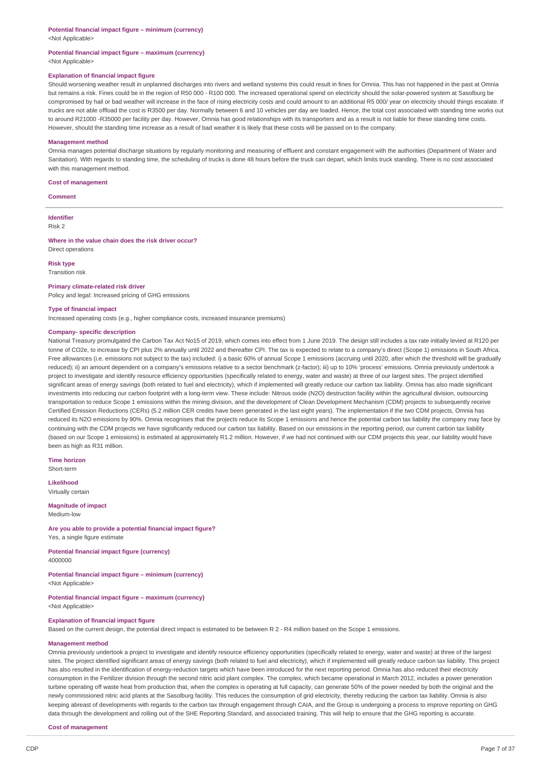# **Potential financial impact figure – minimum (currency)**

<Not Applicable>

#### **Potential financial impact figure – maximum (currency)** <Not Applicable>

### **Explanation of financial impact figure**

Should worsening weather result in unplanned discharges into rivers and wetland systems this could result in fines for Omnia. This has not happened in the past at Omnia but remains a risk. Fines could be in the region of R50 000 - R100 000. The increased operational spend on electricity should the solar-powered system at Sasolburg be compromised by hail or bad weather will increase in the face of rising electricity costs and could amount to an additional R5 000/ year on electricity should things escalate. If trucks are not able offload the cost is R3500 per day. Normally between 6 and 10 vehicles per day are loaded. Hence, the total cost associated with standing time works out to around R21000 -R35000 per facility per day. However, Omnia has good relationships with its transporters and as a result is not liable for these standing time costs. However, should the standing time increase as a result of bad weather it is likely that these costs will be passed on to the company.

#### **Management method**

Omnia manages potential discharge situations by regularly monitoring and measuring of effluent and constant engagement with the authorities (Department of Water and Sanitation). With regards to standing time, the scheduling of trucks is done 48 hours before the truck can depart, which limits truck standing. There is no cost associated with this management method.

#### **Cost of management**

**Comment**

**Identifier** Risk 2

#### **Where in the value chain does the risk driver occur?**

Direct operations

### **Risk type**

Transition risk

#### **Primary climate-related risk driver**

Policy and legal: Increased pricing of GHG emissions

#### **Type of financial impact**

Increased operating costs (e.g., higher compliance costs, increased insurance premiums)

### **Company- specific description**

National Treasury promulgated the Carbon Tax Act No15 of 2019, which comes into effect from 1 June 2019. The design still includes a tax rate initially levied at R120 per tonne of CO2e, to increase by CPI plus 2% annually until 2022 and thereafter CPI. The tax is expected to relate to a company's direct (Scope 1) emissions in South Africa. Free allowances (i.e. emissions not subject to the tax) included: i) a basic 60% of annual Scope 1 emissions (accruing until 2020, after which the threshold will be gradually reduced); ii) an amount dependent on a company's emissions relative to a sector benchmark (z-factor); iii) up to 10% 'process' emissions. Omnia previously undertook a project to investigate and identify resource efficiency opportunities (specifically related to energy, water and waste) at three of our largest sites. The project identified significant areas of energy savings (both related to fuel and electricity), which if implemented will greatly reduce our carbon tax liability. Omnia has also made significant investments into reducing our carbon footprint with a long-term view. These include: Nitrous oxide (N2O) destruction facility within the agricultural division, outsourcing transportation to reduce Scope 1 emissions within the mining division, and the development of Clean Development Mechanism (CDM) projects to subsequently receive Certified Emission Reductions (CERs) (5.2 million CER credits have been generated in the last eight years). The implementation if the two CDM projects, Omnia has reduced its N2O emissions by 90%. Omnia recognises that the projects reduce its Scope 1 emissions and hence the potential carbon tax liability the company may face by continuing with the CDM projects we have significantly reduced our carbon tax liability. Based on our emissions in the reporting period, our current carbon tax liability (based on our Scope 1 emissions) is estimated at approximately R1.2 million. However, if we had not continued with our CDM projects this year, our liability would have been as high as R31 million.

**Time horizon** Short-term

**Likelihood** Virtually certain

**Magnitude of impact**

Medium-low

**Are you able to provide a potential financial impact figure?** Yes, a single figure estimate

**Potential financial impact figure (currency)** 4000000

**Potential financial impact figure – minimum (currency)**

<Not Applicable>

**Potential financial impact figure – maximum (currency)** <Not Applicable>

### **Explanation of financial impact figure**

Based on the current design, the potential direct impact is estimated to be between R 2 - R4 million based on the Scope 1 emissions.

#### **Management method**

Omnia previously undertook a project to investigate and identify resource efficiency opportunities (specifically related to energy, water and waste) at three of the largest sites. The project identified significant areas of energy savings (both related to fuel and electricity), which if implemented will greatly reduce carbon tax liability. This project has also resulted in the identification of energy-reduction targets which have been introduced for the next reporting period. Omnia has also reduced their electricity consumption in the Fertilizer division through the second nitric acid plant complex. The complex, which became operational in March 2012, includes a power generation turbine operating off waste heat from production that, when the complex is operating at full capacity, can generate 50% of the power needed by both the original and the newly commissioned nitric acid plants at the Sasolburg facility. This reduces the consumption of grid electricity, thereby reducing the carbon tax liability. Omnia is also keeping abreast of developments with regards to the carbon tax through engagement through CAIA, and the Group is undergoing a process to improve reporting on GHG data through the development and rolling out of the SHE Reporting Standard, and associated training. This will help to ensure that the GHG reporting is accurate.

**Cost of management**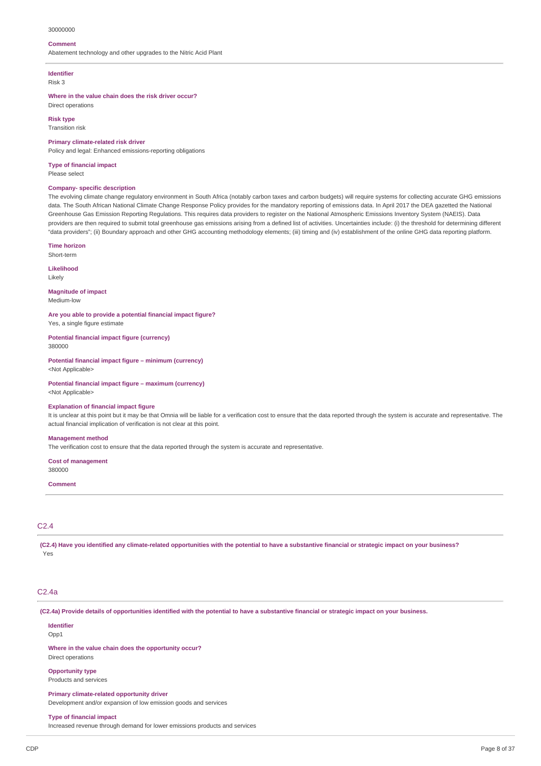#### 30000000

#### **Comment**

Abatement technology and other upgrades to the Nitric Acid Plant

# **Identifier**

Risk 3

**Where in the value chain does the risk driver occur?** Direct operations

**Risk type** Transition risk

#### **Primary climate-related risk driver**

Policy and legal: Enhanced emissions-reporting obligations

**Type of financial impact** Please select

# **Company- specific description**

The evolving climate change regulatory environment in South Africa (notably carbon taxes and carbon budgets) will require systems for collecting accurate GHG emissions data. The South African National Climate Change Response Policy provides for the mandatory reporting of emissions data. In April 2017 the DEA gazetted the National Greenhouse Gas Emission Reporting Regulations. This requires data providers to register on the National Atmospheric Emissions Inventory System (NAEIS). Data providers are then required to submit total greenhouse gas emissions arising from a defined list of activities. Uncertainties include: (i) the threshold for determining different "data providers"; (ii) Boundary approach and other GHG accounting methodology elements; (iii) timing and (iv) establishment of the online GHG data reporting platform.

### **Time horizon**

Short-term

**Likelihood** Likely

**Magnitude of impact**

Medium-low

**Are you able to provide a potential financial impact figure?** Yes, a single figure estimate

**Potential financial impact figure (currency)** 380000

**Potential financial impact figure – minimum (currency)** <Not Applicable>

**Potential financial impact figure – maximum (currency)** <Not Applicable>

#### **Explanation of financial impact figure**

It is unclear at this point but it may be that Omnia will be liable for a verification cost to ensure that the data reported through the system is accurate and representative. The actual financial implication of verification is not clear at this point.

#### **Management method**

The verification cost to ensure that the data reported through the system is accurate and representative.

**Cost of management** 380000

#### **Comment**

### C2.4

(C2.4) Have you identified any climate-related opportunities with the potential to have a substantive financial or strategic impact on your business? Yes

### C2.4a

(C2.4a) Provide details of opportunities identified with the potential to have a substantive financial or strategic impact on your business.

**Identifier** Opp<sub>1</sub>

**Where in the value chain does the opportunity occur?** Direct operations

**Opportunity type**

Products and services

**Primary climate-related opportunity driver**

Development and/or expansion of low emission goods and services

**Type of financial impact**

Increased revenue through demand for lower emissions products and services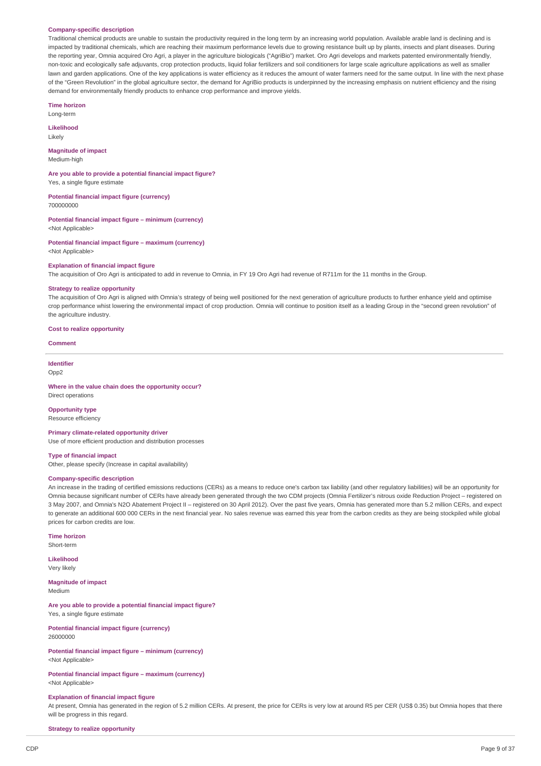#### **Company-specific description**

Traditional chemical products are unable to sustain the productivity required in the long term by an increasing world population. Available arable land is declining and is impacted by traditional chemicals, which are reaching their maximum performance levels due to growing resistance built up by plants, insects and plant diseases. During the reporting year, Omnia acquired Oro Agri, a player in the agriculture biologicals ("AgriBio") market. Oro Agri develops and markets patented environmentally friendly, non-toxic and ecologically safe adjuvants, crop protection products, liquid foliar fertilizers and soil conditioners for large scale agriculture applications as well as smaller lawn and garden applications. One of the key applications is water efficiency as it reduces the amount of water farmers need for the same output. In line with the next phase of the "Green Revolution" in the global agriculture sector, the demand for AgriBio products is underpinned by the increasing emphasis on nutrient efficiency and the rising demand for environmentally friendly products to enhance crop performance and improve yields.

**Time horizon**

Long-term

**Likelihood** Likely

# **Magnitude of impact**

Medium-high

700000000

**Are you able to provide a potential financial impact figure?** Yes, a single figure estimate

**Potential financial impact figure (currency)**

**Potential financial impact figure – minimum (currency)** <Not Applicable>

**Potential financial impact figure – maximum (currency)** <Not Applicable>

### **Explanation of financial impact figure**

The acquisition of Oro Agri is anticipated to add in revenue to Omnia, in FY 19 Oro Agri had revenue of R711m for the 11 months in the Group.

#### **Strategy to realize opportunity**

The acquisition of Oro Agri is aligned with Omnia's strategy of being well positioned for the next generation of agriculture products to further enhance yield and optimise crop performance whist lowering the environmental impact of crop production. Omnia will continue to position itself as a leading Group in the "second green revolution" of the agriculture industry.

#### **Cost to realize opportunity**

**Comment**

### **Identifier**

Opp2

**Where in the value chain does the opportunity occur?** Direct operations

#### **Opportunity type**

Resource efficiency

#### **Primary climate-related opportunity driver**

Use of more efficient production and distribution processes

#### **Type of financial impact**

Other, please specify (Increase in capital availability)

### **Company-specific description**

An increase in the trading of certified emissions reductions (CERs) as a means to reduce one's carbon tax liability (and other regulatory liabilities) will be an opportunity for Omnia because significant number of CERs have already been generated through the two CDM projects (Omnia Fertilizer's nitrous oxide Reduction Project – registered on 3 May 2007, and Omnia's N2O Abatement Project II – registered on 30 April 2012). Over the past five years, Omnia has generated more than 5.2 million CERs, and expect to generate an additional 600 000 CERs in the next financial year. No sales revenue was earned this year from the carbon credits as they are being stockpiled while global prices for carbon credits are low.

### **Time horizon**

Short-term

**Likelihood** Very likely

### **Magnitude of impact**

Medium

**Are you able to provide a potential financial impact figure?** Yes, a single figure estimate

**Potential financial impact figure (currency)** 26000000

**Potential financial impact figure – minimum (currency)** <Not Applicable>

**Potential financial impact figure – maximum (currency)** <Not Applicable>

#### **Explanation of financial impact figure**

At present, Omnia has generated in the region of 5.2 million CERs. At present, the price for CERs is very low at around R5 per CER (US\$ 0.35) but Omnia hopes that there will be progress in this regard.

#### **Strategy to realize opportunity**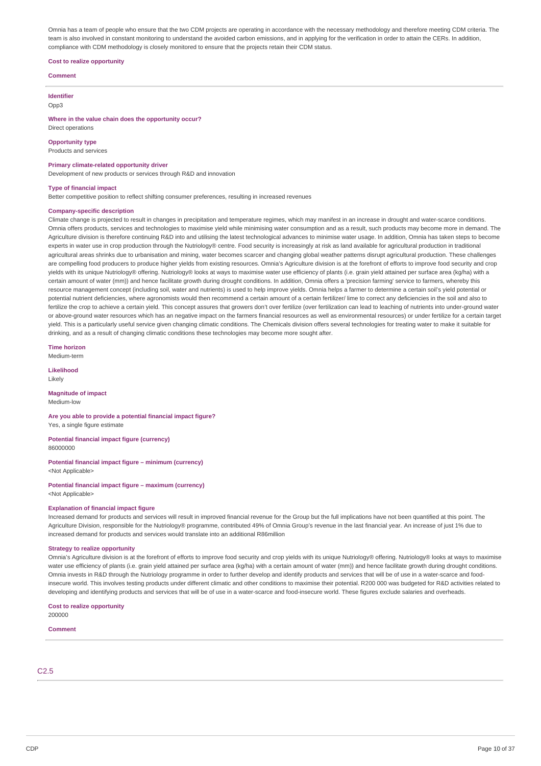Omnia has a team of people who ensure that the two CDM projects are operating in accordance with the necessary methodology and therefore meeting CDM criteria. The team is also involved in constant monitoring to understand the avoided carbon emissions, and in applying for the verification in order to attain the CERs. In addition, compliance with CDM methodology is closely monitored to ensure that the projects retain their CDM status.

### **Cost to realize opportunity**

#### **Comment**

**Identifier** Opp3

**Where in the value chain does the opportunity occur?** Direct operations

### **Opportunity type**

Products and services

**Primary climate-related opportunity driver**

Development of new products or services through R&D and innovation

#### **Type of financial impact**

Better competitive position to reflect shifting consumer preferences, resulting in increased revenues

#### **Company-specific description**

Climate change is projected to result in changes in precipitation and temperature regimes, which may manifest in an increase in drought and water-scarce conditions. Omnia offers products, services and technologies to maximise yield while minimising water consumption and as a result, such products may become more in demand. The Agriculture division is therefore continuing R&D into and utilising the latest technological advances to minimise water usage. In addition, Omnia has taken steps to become experts in water use in crop production through the Nutriology® centre. Food security is increasingly at risk as land available for agricultural production in traditional agricultural areas shrinks due to urbanisation and mining, water becomes scarcer and changing global weather patterns disrupt agricultural production. These challenges are compelling food producers to produce higher yields from existing resources. Omnia's Agriculture division is at the forefront of efforts to improve food security and crop yields with its unique Nutriology® offering. Nutriology® looks at ways to maximise water use efficiency of plants (i.e. grain yield attained per surface area (kg/ha) with a certain amount of water (mm)) and hence facilitate growth during drought conditions. In addition, Omnia offers a 'precision farming' service to farmers, whereby this resource management concept (including soil, water and nutrients) is used to help improve yields. Omnia helps a farmer to determine a certain soil's yield potential or potential nutrient deficiencies, where agronomists would then recommend a certain amount of a certain fertilizer/ lime to correct any deficiencies in the soil and also to fertilize the crop to achieve a certain yield. This concept assures that growers don't over fertilize (over fertilization can lead to leaching of nutrients into under-ground water or above-ground water resources which has an negative impact on the farmers financial resources as well as environmental resources) or under fertilize for a certain target yield. This is a particularly useful service given changing climatic conditions. The Chemicals division offers several technologies for treating water to make it suitable for drinking, and as a result of changing climatic conditions these technologies may become more sought after.

**Time horizon** Medium-term

**Likelihood**

Likely

## **Magnitude of impact**

Medium-low

**Are you able to provide a potential financial impact figure?** Yes, a single figure estimate

**Potential financial impact figure (currency)** 86000000

#### **Potential financial impact figure – minimum (currency)** <Not Applicable>

**Potential financial impact figure – maximum (currency)** <Not Applicable>

#### **Explanation of financial impact figure**

Increased demand for products and services will result in improved financial revenue for the Group but the full implications have not been quantified at this point. The Agriculture Division, responsible for the Nutriology® programme, contributed 49% of Omnia Group's revenue in the last financial year. An increase of just 1% due to increased demand for products and services would translate into an additional R86million

#### **Strategy to realize opportunity**

Omnia's Agriculture division is at the forefront of efforts to improve food security and crop yields with its unique Nutriology® offering. Nutriology® looks at ways to maximise water use efficiency of plants (i.e. grain yield attained per surface area (kg/ha) with a certain amount of water (mm)) and hence facilitate growth during drought conditions. Omnia invests in R&D through the Nutriology programme in order to further develop and identify products and services that will be of use in a water-scarce and foodinsecure world. This involves testing products under different climatic and other conditions to maximise their potential. R200 000 was budgeted for R&D activities related to developing and identifying products and services that will be of use in a water-scarce and food-insecure world. These figures exclude salaries and overheads.

#### **Cost to realize opportunity**

200000

# **Comment**

C2.5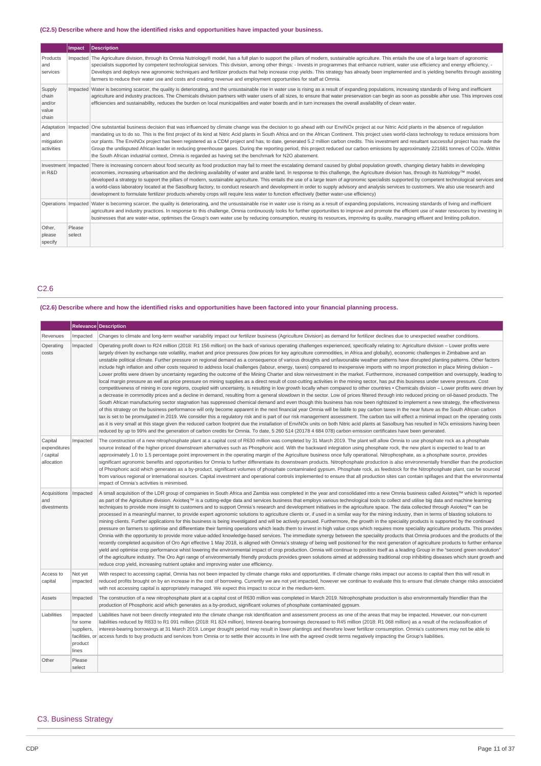# **(C2.5) Describe where and how the identified risks and opportunities have impacted your business.**

|                                               | Impact           | <b>Description</b>                                                                                                                                                                                                                                                                                                                                                                                                                                                                                                                                                                                                                                                                                                                                                                                                                                                                                                       |
|-----------------------------------------------|------------------|--------------------------------------------------------------------------------------------------------------------------------------------------------------------------------------------------------------------------------------------------------------------------------------------------------------------------------------------------------------------------------------------------------------------------------------------------------------------------------------------------------------------------------------------------------------------------------------------------------------------------------------------------------------------------------------------------------------------------------------------------------------------------------------------------------------------------------------------------------------------------------------------------------------------------|
| Products<br>and<br>services                   |                  | Impacted The Agriculture division, through its Omnia Nutriology® model, has a full plan to support the pillars of modern, sustainable agriculture. This entails the use of a large team of agronomic<br>specialists supported by competent technological services. This division, among other things: - Invests in programmes that enhance nutrient, water use efficiency and energy efficiency. -<br>Develops and deploys new agronomic techniques and fertilizer products that help increase crop yields. This strategy has already been implemented and is yielding benefits through assisting<br>farmers to reduce their water use and costs and creating revenue and employment opportunities for staff at Omnia.                                                                                                                                                                                                   |
| Supply<br>chain<br>and/or<br>value<br>chain   |                  | Impacted Water is becoming scarcer, the quality is deteriorating, and the unsustainable rise in water use is rising as a result of expanding populations, increasing standards of living and inefficient<br>agriculture and industry practices. The Chemicals division partners with water users of all sizes, to ensure that water preservation can begin as soon as possible after use. This improves cost<br>efficiencies and sustainability, reduces the burden on local municipalities and water boards and in turn increases the overall availability of clean water.                                                                                                                                                                                                                                                                                                                                              |
| Adaptation<br>and<br>mitigation<br>activities | Impacted         | One substantial business decision that was influenced by climate change was the decision to go ahead with our EnviNOx project at our Nitric Acid plants in the absence of regulation<br>mandating us to do so. This is the first project of its kind at Nitric Acid plants in South Africa and on the African Continent. This project uses world-class technology to reduce emissions from<br>our plants. The EnviNOx project has been registered as a CDM project and has, to date, generated 5.2 million carbon credits. This investment and resultant successful project has made the<br>Group the undisputed African leader in reducing greenhouse gases. During the reporting period, this project reduced our carbon emissions by approximately 221681 tonnes of CO2e. Within<br>the South African industrial context, Omnia is regarded as having set the benchmark for N2O abatement.                            |
| Investment Impacted<br>in R&D                 |                  | There is increasing concern about food security as food production may fail to meet the escalating demand caused by global population growth, changing dietary habits in developing<br>economies, increasing urbanisation and the declining availability of water and arable land. In response to this challenge, the Agriculture division has, through its Nutriology™ model,<br>developed a strategy to support the pillars of modern, sustainable agriculture. This entails the use of a large team of agronomic specialists supported by competent technological services and<br>a world-class laboratory located at the Sasolburg factory, to conduct research and development in order to supply advisory and analysis services to customers. We also use research and<br>development to formulate fertilizer products whereby crops will require less water to function effectively (better water-use efficiency) |
|                                               |                  | Operations   Impacted   Water is becoming scarcer, the quality is deteriorating, and the unsustainable rise in water use is rising as a result of expanding populations, increasing standards of living and inefficient<br>agriculture and industry practices. In response to this challenge, Omnia continuously looks for further opportunities to improve and promote the efficient use of water resources by investing in<br>businesses that are water-wise, optimises the Group's own water use by reducing consumption, reusing its resources, improving its quality, managing effluent and limiting pollution.                                                                                                                                                                                                                                                                                                     |
| Other,<br>please<br>specify                   | Please<br>select |                                                                                                                                                                                                                                                                                                                                                                                                                                                                                                                                                                                                                                                                                                                                                                                                                                                                                                                          |

C2.6

# (C2.6) Describe where and how the identified risks and opportunities have been factored into your financial planning process.

|                                                    |                                                                          | <b>Relevance Description</b>                                                                                                                                                                                                                                                                                                                                                                                                                                                                                                                                                                                                                                                                                                                                                                                                                                                                                                                                                                                                                                                                                                                                                                                                                                                                                                                                                                                                                                                                                                                                                                                                                                                                                                                                                                                                                                                                                                                                                                                                                                                                                                                                                                                                                                                                                                                                                                                                                                                                            |
|----------------------------------------------------|--------------------------------------------------------------------------|---------------------------------------------------------------------------------------------------------------------------------------------------------------------------------------------------------------------------------------------------------------------------------------------------------------------------------------------------------------------------------------------------------------------------------------------------------------------------------------------------------------------------------------------------------------------------------------------------------------------------------------------------------------------------------------------------------------------------------------------------------------------------------------------------------------------------------------------------------------------------------------------------------------------------------------------------------------------------------------------------------------------------------------------------------------------------------------------------------------------------------------------------------------------------------------------------------------------------------------------------------------------------------------------------------------------------------------------------------------------------------------------------------------------------------------------------------------------------------------------------------------------------------------------------------------------------------------------------------------------------------------------------------------------------------------------------------------------------------------------------------------------------------------------------------------------------------------------------------------------------------------------------------------------------------------------------------------------------------------------------------------------------------------------------------------------------------------------------------------------------------------------------------------------------------------------------------------------------------------------------------------------------------------------------------------------------------------------------------------------------------------------------------------------------------------------------------------------------------------------------------|
| Revenues                                           | Impacted                                                                 | Changes to climate and long-term weather variability impact our fertilizer business (Agriculture Division) as demand for fertilizer declines due to unexpected weather conditions.                                                                                                                                                                                                                                                                                                                                                                                                                                                                                                                                                                                                                                                                                                                                                                                                                                                                                                                                                                                                                                                                                                                                                                                                                                                                                                                                                                                                                                                                                                                                                                                                                                                                                                                                                                                                                                                                                                                                                                                                                                                                                                                                                                                                                                                                                                                      |
| Operating<br>costs                                 | Impacted                                                                 | Operating profit down to R24 million (2018: R1 156 million) on the back of various operating challenges experienced, specifically relating to: Agriculture division - Lower profits were<br>largely driven by exchange rate volatility, market and price pressures (low prices for key agriculture commodities, in Africa and globally), economic challenges in Zimbabwe and an<br>unstable political climate. Further pressure on regional demand as a consequence of various droughts and unfavourable weather patterns have disrupted planting patterns. Other factors<br>include high inflation and other costs required to address local challenges (labour, energy, taxes) compared to inexpensive imports with no import protection in place Mining division –<br>Lower profits were driven by uncertainty regarding the outcome of the Mining Charter and slow reinvestment in the market. Furthermore, increased competition and oversupply, leading to<br>local margin pressure as well as price pressure on mining supplies as a direct result of cost-cutting activities in the mining sector, has put this business under severe pressure. Cost<br>competitiveness of mining in core regions, coupled with uncertainty, is resulting in low growth locally when compared to other countries • Chemicals division - Lower profits were driven by<br>a decrease in commodity prices and a decline in demand, resulting from a general slowdown in the sector. Low oil prices filtered through into reduced pricing on oil-based products. The<br>South African manufacturing sector stagnation has suppressed chemical demand and even though this business has now been rightsized to implement a new strategy, the effectiveness<br>of this strategy on the business performance will only become apparent in the next financial year Omnia will be liable to pay carbon taxes in the near future as the South African carbon<br>tax is set to be promulgated in 2019. We consider this a regulatory risk and is part of our risk management assessment. The carbon tax will effect a minimal impact on the operating costs<br>as it is very small at this stage given the reduced carbon footprint due the installation of EnviNOx units on both Nitric acid plants at Sasolburg has resulted in NOx emissions having been<br>reduced by up to 99% and the generation of carbon credits for Omnia. To date, 5 260 514 (20178 4 684 078) carbon emission certificates have been generated. |
| Capital<br>expenditures<br>/ capital<br>allocation | Impacted                                                                 | The construction of a new nitrophosphate plant at a capital cost of R630 million was completed by 31 March 2019. The plant will allow Omnia to use phosphate rock as a phosphate<br>source instead of the higher-priced downstream alternatives such as Phosphoric acid. With the backward integration using phosphate rock, the new plant is expected to lead to an<br>approximately 1.0 to 1.5 percentage point improvement in the operating margin of the Agriculture business once fully operational. Nitrophosphate, as a phosphate source, provides<br>significant agronomic benefits and opportunities for Omnia to further differentiate its downstream products. Nitrophosphate production is also environmentally friendlier than the production<br>of Phosphoric acid which generates as a by-product, significant volumes of phosphate contaminated gypsum. Phosphate rock, as feedstock for the Nitrophosphate plant, can be sourced<br>from various regional or international sources. Capital investment and operational controls implemented to ensure that all production sites can contain spillages and that the environmental<br>impact of Omnia's activities is minimised.                                                                                                                                                                                                                                                                                                                                                                                                                                                                                                                                                                                                                                                                                                                                                                                                                                                                                                                                                                                                                                                                                                                                                                                                                                                                                                         |
| Acquisitions<br>and<br>divestments                 | Impacted                                                                 | A small acquisition of the LDR group of companies in South Africa and Zambia was completed in the year and consolidated into a new Omnia business called Axioteq™ which is reported<br>as part of the Agriculture division. Axioteq™ is a cutting-edge data and services business that employs various technological tools to collect and utilise big data and machine learning<br>techniques to provide more insight to customers and to support Omnia's research and development initiatives in the agriculture space. The data collected through Axioteq™ can be<br>processed in a meaningful manner, to provide expert agronomic solutions to agriculture clients or, if used in a similar way for the mining industry, then in terms of blasting solutions to<br>mining clients. Further applications for this business is being investigated and will be actively pursued. Furthermore, the growth in the speciality products is supported by the continued<br>pressure on farmers to optimise and differentiate their farming operations which leads them to invest in high value crops which requires more speciality agriculture products. This provides<br>Omnia with the opportunity to provide more value-added knowledge-based services. The immediate synergy between the speciality products that Omnia produces and the products of the<br>recently completed acquisition of Oro Agri effective 1 May 2018, is aligned with Omnia's strategy of being well positioned for the next generation of agriculture products to further enhance<br>yield and optimise crop performance whist lowering the environmental impact of crop production. Omnia will continue to position itself as a leading Group in the "second green revolution"<br>of the agriculture industry. The Oro Agri range of environmentally friendly products provides green solutions aimed at addressing traditional crop inhibiting diseases which stunt growth and<br>reduce crop yield, increasing nutrient uptake and improving water use efficiency.                                                                                                                                                                                                                                                                                                                                                                                                                                                            |
| Access to<br>capital                               | Not yet<br>impacted                                                      | With respect to accessing capital, Omnia has not been impacted by climate change risks and opportunities. If climate change risks impact our access to capital then this will result in<br>reduced profits brought on by an increase in the cost of borrowing. Currently we are not yet impacted, however we continue to evaluate this to ensure that climate change risks associated<br>with not accessing capital is appropriately managed. We expect this impact to occur in the medium-term.                                                                                                                                                                                                                                                                                                                                                                                                                                                                                                                                                                                                                                                                                                                                                                                                                                                                                                                                                                                                                                                                                                                                                                                                                                                                                                                                                                                                                                                                                                                                                                                                                                                                                                                                                                                                                                                                                                                                                                                                        |
| Assets                                             | Impacted                                                                 | The construction of a new nitrophosphate plant at a capital cost of R630 million was completed in March 2019. Nitrophosphate production is also environmentally friendlier than the<br>production of Phosphoric acid which generates as a by-product, significant volumes of phosphate contaminated gypsum.                                                                                                                                                                                                                                                                                                                                                                                                                                                                                                                                                                                                                                                                                                                                                                                                                                                                                                                                                                                                                                                                                                                                                                                                                                                                                                                                                                                                                                                                                                                                                                                                                                                                                                                                                                                                                                                                                                                                                                                                                                                                                                                                                                                             |
| Liabilities                                        | Impacted<br>for some<br>suppliers,<br>facilities, or<br>product<br>lines | Liabilities have not been directly integrated into the climate change risk identification and assessment process as one of the areas that may be impacted. However, our non-current<br>liabilities reduced by R833 to R1 091 million (2018: R1 824 million), Interest-bearing borrowings decreased to R45 million (2018: R1 068 million) as a result of the reclassification of<br>interest-bearing borrowings at 31 March 2019. Longer drought period may result in lower plantings and therefore lower fertilizer consumption. Omnia's customers may not be able to<br>access funds to buy products and services from Omnia or to settle their accounts in line with the agreed credit terms negatively impacting the Group's liabilities.                                                                                                                                                                                                                                                                                                                                                                                                                                                                                                                                                                                                                                                                                                                                                                                                                                                                                                                                                                                                                                                                                                                                                                                                                                                                                                                                                                                                                                                                                                                                                                                                                                                                                                                                                            |
| Other                                              | Please<br>select                                                         |                                                                                                                                                                                                                                                                                                                                                                                                                                                                                                                                                                                                                                                                                                                                                                                                                                                                                                                                                                                                                                                                                                                                                                                                                                                                                                                                                                                                                                                                                                                                                                                                                                                                                                                                                                                                                                                                                                                                                                                                                                                                                                                                                                                                                                                                                                                                                                                                                                                                                                         |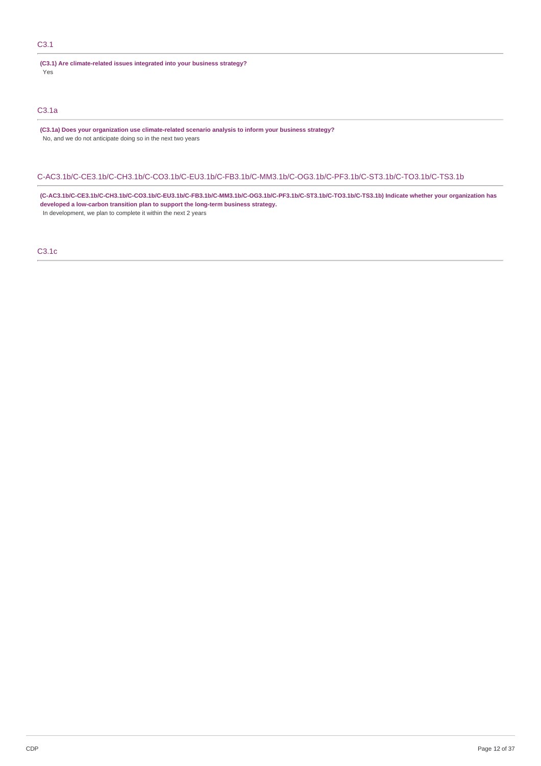# C3.1

**(C3.1) Are climate-related issues integrated into your business strategy?** Yes

# C3.1a

**(C3.1a) Does your organization use climate-related scenario analysis to inform your business strategy?** No, and we do not anticipate doing so in the next two years

### C-AC3.1b/C-CE3.1b/C-CH3.1b/C-CO3.1b/C-EU3.1b/C-FB3.1b/C-MM3.1b/C-OG3.1b/C-PF3.1b/C-ST3.1b/C-TO3.1b/C-TS3.1b

**(C-AC3.1b/C-CE3.1b/C-CH3.1b/C-CO3.1b/C-EU3.1b/C-FB3.1b/C-MM3.1b/C-OG3.1b/C-PF3.1b/C-ST3.1b/C-TO3.1b/C-TS3.1b) Indicate whether your organization has developed a low-carbon transition plan to support the long-term business strategy.** In development, we plan to complete it within the next 2 years

C3.1c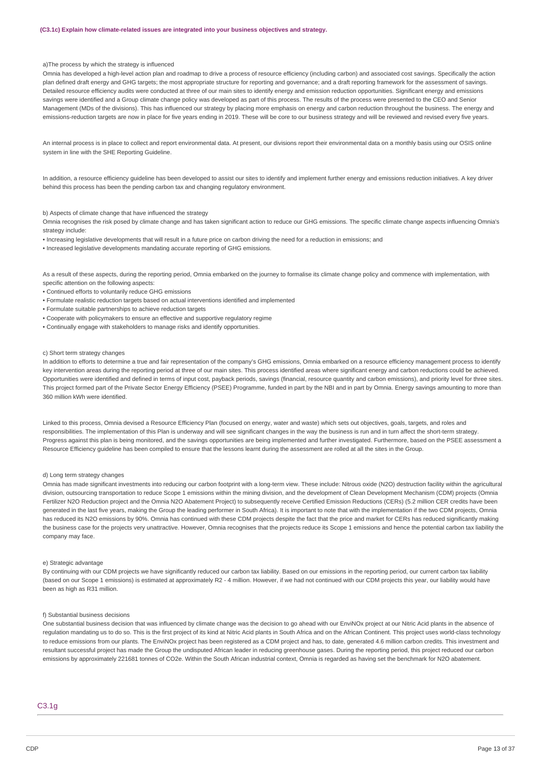### a)The process by which the strategy is influenced

Omnia has developed a high-level action plan and roadmap to drive a process of resource efficiency (including carbon) and associated cost savings. Specifically the action plan defined draft energy and GHG targets; the most appropriate structure for reporting and governance; and a draft reporting framework for the assessment of savings. Detailed resource efficiency audits were conducted at three of our main sites to identify energy and emission reduction opportunities. Significant energy and emissions savings were identified and a Group climate change policy was developed as part of this process. The results of the process were presented to the CEO and Senior Management (MDs of the divisions). This has influenced our strategy by placing more emphasis on energy and carbon reduction throughout the business. The energy and emissions-reduction targets are now in place for five years ending in 2019. These will be core to our business strategy and will be reviewed and revised every five years.

An internal process is in place to collect and report environmental data. At present, our divisions report their environmental data on a monthly basis using our OSIS online system in line with the SHE Reporting Guideline.

In addition, a resource efficiency guideline has been developed to assist our sites to identify and implement further energy and emissions reduction initiatives. A key driver behind this process has been the pending carbon tax and changing regulatory environment.

#### b) Aspects of climate change that have influenced the strategy

Omnia recognises the risk posed by climate change and has taken significant action to reduce our GHG emissions. The specific climate change aspects influencing Omnia's strategy include:

- Increasing legislative developments that will result in a future price on carbon driving the need for a reduction in emissions; and
- Increased legislative developments mandating accurate reporting of GHG emissions.

As a result of these aspects, during the reporting period, Omnia embarked on the journey to formalise its climate change policy and commence with implementation, with specific attention on the following aspects:

- Continued efforts to voluntarily reduce GHG emissions
- Formulate realistic reduction targets based on actual interventions identified and implemented
- Formulate suitable partnerships to achieve reduction targets
- Cooperate with policymakers to ensure an effective and supportive regulatory regime
- Continually engage with stakeholders to manage risks and identify opportunities.

### c) Short term strategy changes

In addition to efforts to determine a true and fair representation of the company's GHG emissions, Omnia embarked on a resource efficiency management process to identify key intervention areas during the reporting period at three of our main sites. This process identified areas where significant energy and carbon reductions could be achieved. Opportunities were identified and defined in terms of input cost, payback periods, savings (financial, resource quantity and carbon emissions), and priority level for three sites. This project formed part of the Private Sector Energy Efficiency (PSEE) Programme, funded in part by the NBI and in part by Omnia. Energy savings amounting to more than 360 million kWh were identified.

Linked to this process, Omnia devised a Resource Efficiency Plan (focused on energy, water and waste) which sets out objectives, goals, targets, and roles and responsibilities. The implementation of this Plan is underway and will see significant changes in the way the business is run and in turn affect the short-term strategy. Progress against this plan is being monitored, and the savings opportunities are being implemented and further investigated. Furthermore, based on the PSEE assessment a Resource Efficiency guideline has been compiled to ensure that the lessons learnt during the assessment are rolled at all the sites in the Group.

### d) Long term strategy changes

Omnia has made significant investments into reducing our carbon footprint with a long-term view. These include: Nitrous oxide (N2O) destruction facility within the agricultural division, outsourcing transportation to reduce Scope 1 emissions within the mining division, and the development of Clean Development Mechanism (CDM) projects (Omnia Fertilizer N2O Reduction project and the Omnia N2O Abatement Project) to subsequently receive Certified Emission Reductions (CERs) (5.2 million CER credits have been generated in the last five years, making the Group the leading performer in South Africa). It is important to note that with the implementation if the two CDM projects, Omnia has reduced its N2O emissions by 90%. Omnia has continued with these CDM projects despite the fact that the price and market for CERs has reduced significantly making the business case for the projects very unattractive. However, Omnia recognises that the projects reduce its Scope 1 emissions and hence the potential carbon tax liability the company may face.

#### e) Strategic advantage

By continuing with our CDM projects we have significantly reduced our carbon tax liability. Based on our emissions in the reporting period, our current carbon tax liability (based on our Scope 1 emissions) is estimated at approximately R2 - 4 million. However, if we had not continued with our CDM projects this year, our liability would have been as high as R31 million.

#### f) Substantial business decisions

One substantial business decision that was influenced by climate change was the decision to go ahead with our EnviNOx project at our Nitric Acid plants in the absence of regulation mandating us to do so. This is the first project of its kind at Nitric Acid plants in South Africa and on the African Continent. This project uses world-class technology to reduce emissions from our plants. The EnviNOx project has been registered as a CDM project and has, to date, generated 4.6 million carbon credits. This investment and resultant successful project has made the Group the undisputed African leader in reducing greenhouse gases. During the reporting period, this project reduced our carbon emissions by approximately 221681 tonnes of CO2e. Within the South African industrial context, Omnia is regarded as having set the benchmark for N2O abatement.

C3.1g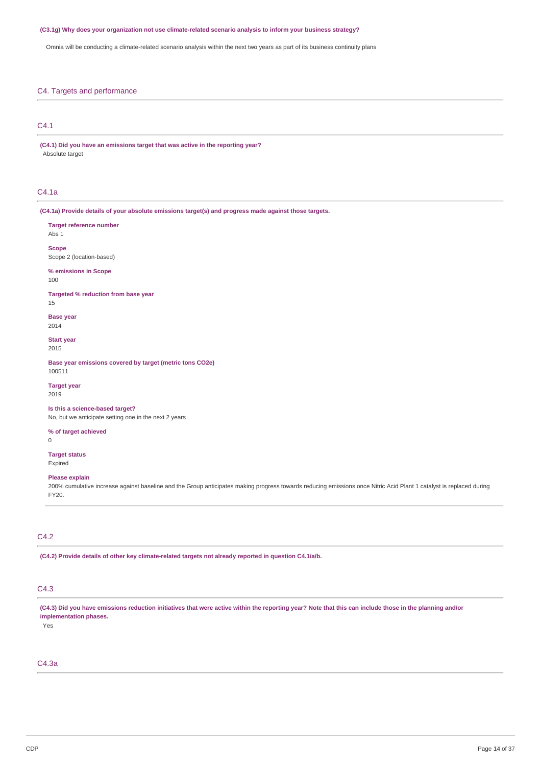#### **(C3.1g) Why does your organization not use climate-related scenario analysis to inform your business strategy?**

Omnia will be conducting a climate-related scenario analysis within the next two years as part of its business continuity plans

### C4. Targets and performance

**Target reference number**

### C4.1

**(C4.1) Did you have an emissions target that was active in the reporting year?** Absolute target

### C4.1a

Abs 1

100

15

2014

2015

2019

 $\Omega$ 

FY20.

**(C4.1a) Provide details of your absolute emissions target(s) and progress made against those targets.**

**Scope** Scope 2 (location-based) **% emissions in Scope Targeted % reduction from base year Base year Start year Base year emissions covered by target (metric tons CO2e)** 100511 **Target year Is this a science-based target?** No, but we anticipate setting one in the next 2 years **% of target achieved Target status** Expired **Please explain** 200% cumulative increase against baseline and the Group anticipates making progress towards reducing emissions once Nitric Acid Plant 1 catalyst is replaced during

# C4.2

**(C4.2) Provide details of other key climate-related targets not already reported in question C4.1/a/b.**

# C4.3

(C4.3) Did you have emissions reduction initiatives that were active within the reporting year? Note that this can include those in the planning and/or **implementation phases.**

Yes

# C4.3a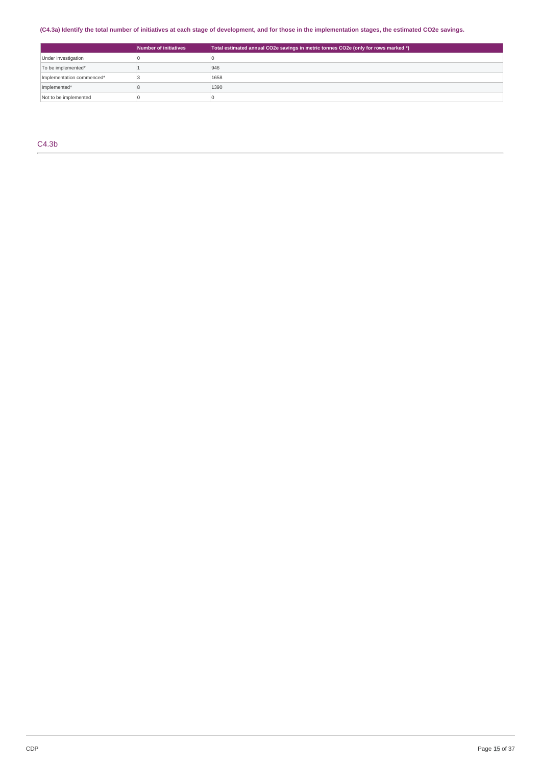# (C4.3a) Identify the total number of initiatives at each stage of development, and for those in the implementation stages, the estimated CO2e savings.

|                           | Number of initiatives | Total estimated annual CO2e savings in metric tonnes CO2e (only for rows marked *) |
|---------------------------|-----------------------|------------------------------------------------------------------------------------|
| Under investigation       |                       |                                                                                    |
| To be implemented*        |                       | 946                                                                                |
| Implementation commenced* |                       | 1658                                                                               |
| Implemented*              |                       | 1390                                                                               |
| Not to be implemented     |                       |                                                                                    |

C4.3b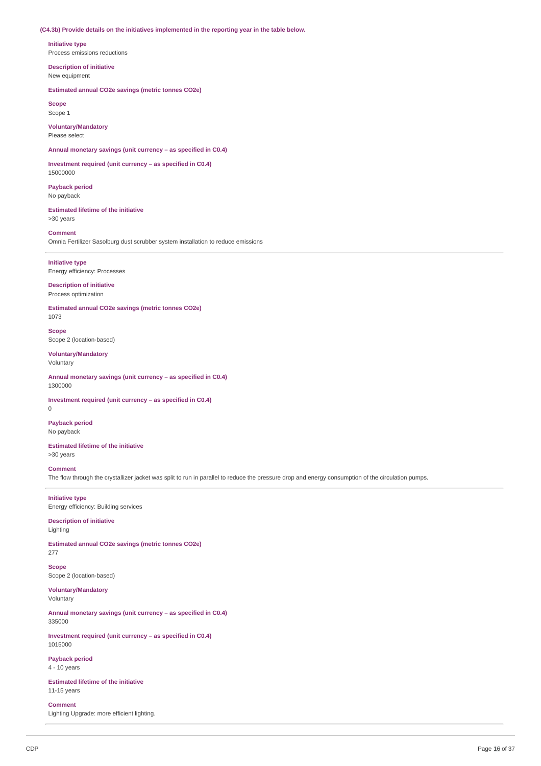#### **(C4.3b) Provide details on the initiatives implemented in the reporting year in the table below.**

**Initiative type** Process emissions reductions

**Description of initiative** New equipment

**Estimated annual CO2e savings (metric tonnes CO2e)**

**Scope** Scope 1

**Voluntary/Mandatory** Please select

**Annual monetary savings (unit currency – as specified in C0.4)**

**Investment required (unit currency – as specified in C0.4)** 15000000

**Payback period** No payback

**Estimated lifetime of the initiative** >30 years

**Comment** Omnia Fertilizer Sasolburg dust scrubber system installation to reduce emissions

**Initiative type** Energy efficiency: Processes

**Description of initiative** Process optimization

**Estimated annual CO2e savings (metric tonnes CO2e)** 1073

**Scope** Scope 2 (location-based)

**Voluntary/Mandatory** Voluntary

**Annual monetary savings (unit currency – as specified in C0.4)** 1300000

**Investment required (unit currency – as specified in C0.4)**  $\Omega$ 

**Payback period** No payback

**Estimated lifetime of the initiative** >30 years

## **Comment**

The flow through the crystallizer jacket was split to run in parallel to reduce the pressure drop and energy consumption of the circulation pumps.

**Initiative type** Energy efficiency: Building services

#### **Description of initiative** Lighting

**Estimated annual CO2e savings (metric tonnes CO2e)** 277

**Scope** Scope 2 (location-based)

**Voluntary/Mandatory** Voluntary

**Annual monetary savings (unit currency – as specified in C0.4)** 335000

**Investment required (unit currency – as specified in C0.4)** 1015000

**Payback period** 4 - 10 years

**Estimated lifetime of the initiative** 11-15 years

**Comment** Lighting Upgrade: more efficient lighting.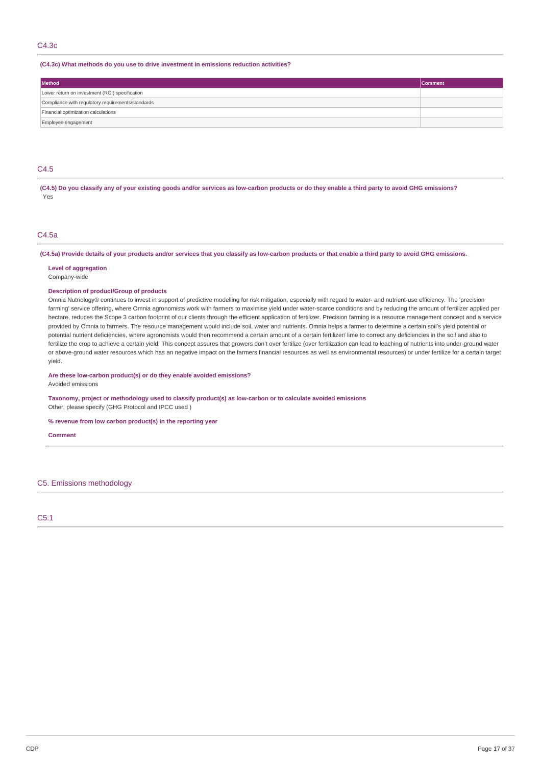### C4.3c

### **(C4.3c) What methods do you use to drive investment in emissions reduction activities?**

| Method                                            | <b>Comment</b> |  |  |  |
|---------------------------------------------------|----------------|--|--|--|
| Lower return on investment (ROI) specification    |                |  |  |  |
| Compliance with regulatory requirements/standards |                |  |  |  |
| Financial optimization calculations               |                |  |  |  |
| Employee engagement                               |                |  |  |  |

# C4.5

(C4.5) Do you classify any of your existing goods and/or services as low-carbon products or do they enable a third party to avoid GHG emissions? Yes

# C4.5a

(C4.5a) Provide details of your products and/or services that you classify as low-carbon products or that enable a third party to avoid GHG emissions.

**Level of aggregation** Company-wide

#### **Description of product/Group of products**

Omnia Nutriology® continues to invest in support of predictive modelling for risk mitigation, especially with regard to water- and nutrient-use efficiency. The 'precision farming' service offering, where Omnia agronomists work with farmers to maximise yield under water-scarce conditions and by reducing the amount of fertilizer applied per hectare, reduces the Scope 3 carbon footprint of our clients through the efficient application of fertilizer. Precision farming is a resource management concept and a service provided by Omnia to farmers. The resource management would include soil, water and nutrients. Omnia helps a farmer to determine a certain soil's yield potential or potential nutrient deficiencies, where agronomists would then recommend a certain amount of a certain fertilizer/ lime to correct any deficiencies in the soil and also to fertilize the crop to achieve a certain yield. This concept assures that growers don't over fertilize (over fertilization can lead to leaching of nutrients into under-ground water or above-ground water resources which has an negative impact on the farmers financial resources as well as environmental resources) or under fertilize for a certain target yield.

**Are these low-carbon product(s) or do they enable avoided emissions?**

Avoided emissions

**Taxonomy, project or methodology used to classify product(s) as low-carbon or to calculate avoided emissions** Other, please specify (GHG Protocol and IPCC used )

**% revenue from low carbon product(s) in the reporting year**

**Comment**

### C5. Emissions methodology

C5.1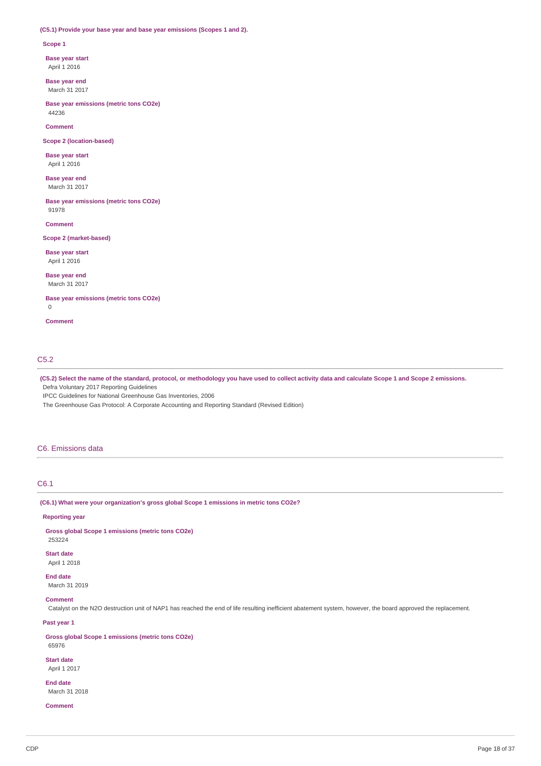#### **(C5.1) Provide your base year and base year emissions (Scopes 1 and 2).**

#### **Scope 1**

**Base year start** April 1 2016

**Base year end**

March 31 2017

**Base year emissions (metric tons CO2e)** 44236

**Comment**

**Scope 2 (location-based)**

**Base year start** April 1 2016

**Base year end** March 31 2017

**Base year emissions (metric tons CO2e)** 91978

**Comment**

### **Scope 2 (market-based)**

**Base year start** April 1 2016

**Base year end** March 31 2017

**Base year emissions (metric tons CO2e)** 0

**Comment**

## C5.2

(C5.2) Select the name of the standard, protocol, or methodology you have used to collect activity data and calculate Scope 1 and Scope 2 emissions.

Defra Voluntary 2017 Reporting Guidelines

IPCC Guidelines for National Greenhouse Gas Inventories, 2006

The Greenhouse Gas Protocol: A Corporate Accounting and Reporting Standard (Revised Edition)

#### C6. Emissions data

# C6.1

**(C6.1) What were your organization's gross global Scope 1 emissions in metric tons CO2e?**

#### **Reporting year**

**Gross global Scope 1 emissions (metric tons CO2e)** 253224

**Start date**

April 1 2018

**End date** March 31 2019

#### **Comment**

Catalyst on the N2O destruction unit of NAP1 has reached the end of life resulting inefficient abatement system, however, the board approved the replacement.

### **Past year 1**

**Gross global Scope 1 emissions (metric tons CO2e)** 65976

**Start date** April 1 2017

**End date** March 31 2018

**Comment**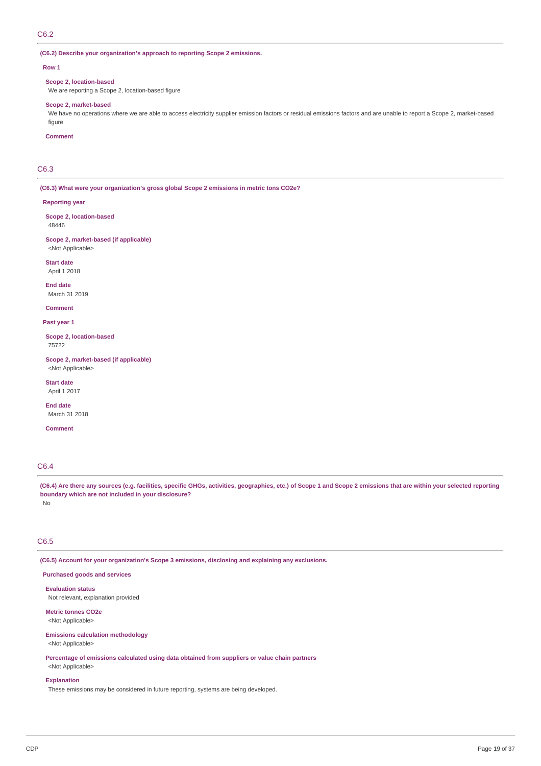# C6.2

### **(C6.2) Describe your organization's approach to reporting Scope 2 emissions.**

#### **Row 1**

#### **Scope 2, location-based**

We are reporting a Scope 2, location-based figure

### **Scope 2, market-based**

We have no operations where we are able to access electricity supplier emission factors or residual emissions factors and are unable to report a Scope 2, market-based figure

## **Comment**

# C6.3

**(C6.3) What were your organization's gross global Scope 2 emissions in metric tons CO2e?**

#### **Reporting year**

**Scope 2, location-based** 48446

# **Scope 2, market-based (if applicable)**

<Not Applicable> **Start date**

April 1 2018

**End date** March 31 2019

#### **Comment**

**Past year 1**

**Scope 2, location-based** 75722

**Scope 2, market-based (if applicable)** <Not Applicable>

**Start date** April 1 2017

**End date** March 31 2018

**Comment**

# C6.4

(C6.4) Are there any sources (e.g. facilities, specific GHGs, activities, geographies, etc.) of Scope 1 and Scope 2 emissions that are within your selected reporting **boundary which are not included in your disclosure?**

No

# C6.5

**(C6.5) Account for your organization's Scope 3 emissions, disclosing and explaining any exclusions.**

### **Purchased goods and services**

**Evaluation status** Not relevant, explanation provided

# **Metric tonnes CO2e**

<Not Applicable>

## **Emissions calculation methodology**

<Not Applicable>

**Percentage of emissions calculated using data obtained from suppliers or value chain partners** <Not Applicable>

### **Explanation**

These emissions may be considered in future reporting, systems are being developed.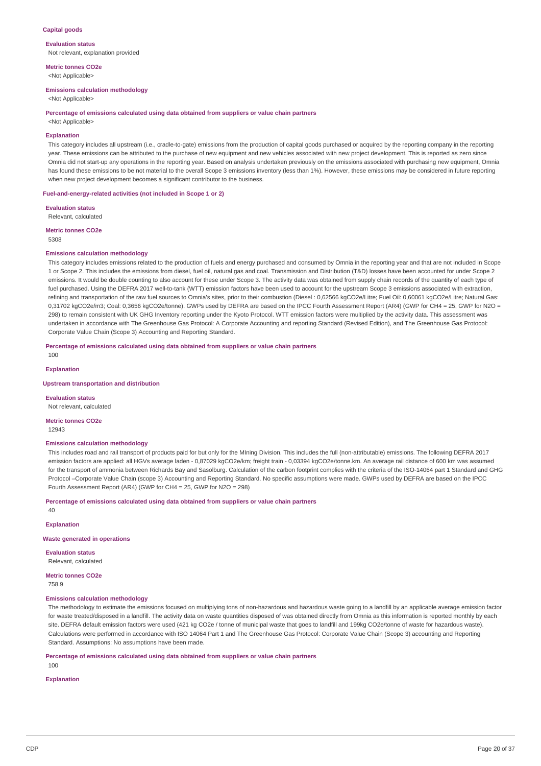### **Capital goods**

**Evaluation status** Not relevant, explanation provided

**Metric tonnes CO2e** <Not Applicable>

#### **Emissions calculation methodology**

<Not Applicable>

#### **Percentage of emissions calculated using data obtained from suppliers or value chain partners**

<Not Applicable>

### **Explanation**

This category includes all upstream (i.e., cradle-to-gate) emissions from the production of capital goods purchased or acquired by the reporting company in the reporting year. These emissions can be attributed to the purchase of new equipment and new vehicles associated with new project development. This is reported as zero since Omnia did not start-up any operations in the reporting year. Based on analysis undertaken previously on the emissions associated with purchasing new equipment, Omnia has found these emissions to be not material to the overall Scope 3 emissions inventory (less than 1%). However, these emissions may be considered in future reporting when new project development becomes a significant contributor to the business.

### **Fuel-and-energy-related activities (not included in Scope 1 or 2)**

**Evaluation status** Relevant, calculated

**Metric tonnes CO2e**

5308

#### **Emissions calculation methodology**

This category includes emissions related to the production of fuels and energy purchased and consumed by Omnia in the reporting year and that are not included in Scope 1 or Scope 2. This includes the emissions from diesel, fuel oil, natural gas and coal. Transmission and Distribution (T&D) losses have been accounted for under Scope 2 emissions. It would be double counting to also account for these under Scope 3. The activity data was obtained from supply chain records of the quantity of each type of fuel purchased. Using the DEFRA 2017 well-to-tank (WTT) emission factors have been used to account for the upstream Scope 3 emissions associated with extraction, refining and transportation of the raw fuel sources to Omnia's sites, prior to their combustion (Diesel : 0,62566 kgCO2e/Litre; Fuel Oil: 0,60061 kgCO2e/Litre; Natural Gas: 0,31702 kgCO2e/m3; Coal: 0,3656 kgCO2e/tonne). GWPs used by DEFRA are based on the IPCC Fourth Assessment Report (AR4) (GWP for CH4 = 25, GWP for N2O = 298) to remain consistent with UK GHG Inventory reporting under the Kyoto Protocol. WTT emission factors were multiplied by the activity data. This assessment was undertaken in accordance with The Greenhouse Gas Protocol: A Corporate Accounting and reporting Standard (Revised Edition), and The Greenhouse Gas Protocol: Corporate Value Chain (Scope 3) Accounting and Reporting Standard.

#### **Percentage of emissions calculated using data obtained from suppliers or value chain partners**

100

#### **Explanation**

#### **Upstream transportation and distribution**

**Evaluation status** Not relevant, calculated

#### **Metric tonnes CO2e**

12943

#### **Emissions calculation methodology**

This includes road and rail transport of products paid for but only for the MIning Division. This includes the full (non-attributable) emissions. The following DEFRA 2017 emission factors are applied: all HGVs average laden - 0,87029 kgCO2e/km; freight train - 0,03394 kgCO2e/tonne.km. An average rail distance of 600 km was assumed for the transport of ammonia between Richards Bay and Sasolburg. Calculation of the carbon footprint complies with the criteria of the ISO-14064 part 1 Standard and GHG Protocol –Corporate Value Chain (scope 3) Accounting and Reporting Standard. No specific assumptions were made. GWPs used by DEFRA are based on the IPCC Fourth Assessment Report (AR4) (GWP for CH4 = 25, GWP for N2O = 298)

### **Percentage of emissions calculated using data obtained from suppliers or value chain partners**

**Explanation**

 $40$ 

#### **Waste generated in operations**

**Evaluation status** Relevant, calculated

**Metric tonnes CO2e** 758.9

### **Emissions calculation methodology**

The methodology to estimate the emissions focused on multiplying tons of non-hazardous and hazardous waste going to a landfill by an applicable average emission factor for waste treated/disposed in a landfill. The activity data on waste quantities disposed of was obtained directly from Omnia as this information is reported monthly by each site. DEFRA default emission factors were used (421 kg CO2e / tonne of municipal waste that goes to landfill and 199kg CO2e/tonne of waste for hazardous waste). Calculations were performed in accordance with ISO 14064 Part 1 and The Greenhouse Gas Protocol: Corporate Value Chain (Scope 3) accounting and Reporting Standard. Assumptions: No assumptions have been made.

**Percentage of emissions calculated using data obtained from suppliers or value chain partners**

100

#### **Explanation**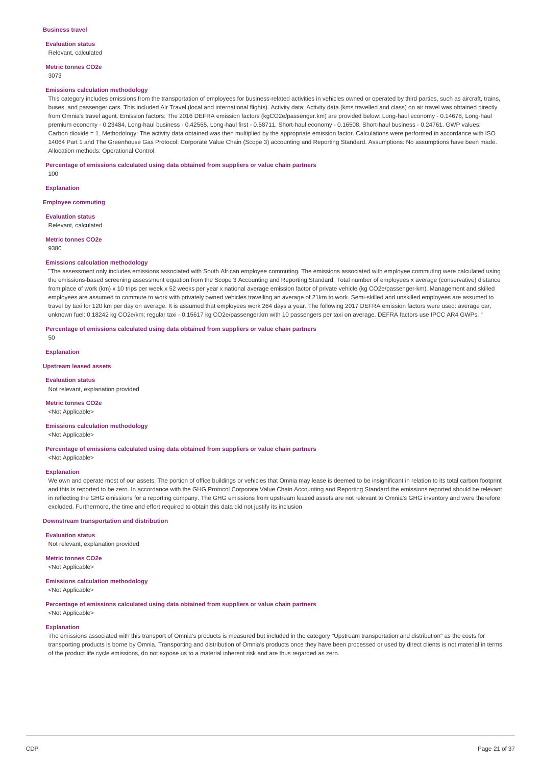**Evaluation status** Relevant, calculated

**Metric tonnes CO2e** 3073

#### **Emissions calculation methodology**

This category includes emissions from the transportation of employees for business-related activities in vehicles owned or operated by third parties, such as aircraft, trains, buses, and passenger cars. This included Air Travel (local and international flights). Activity data: Activity data (kms travelled and class) on air travel was obtained directly from Omnia's travel agent. Emission factors: The 2016 DEFRA emission factors (kgCO2e/passenger.km) are provided below: Long-haul economy - 0.14678, Long-haul premium economy - 0.23484, Long-haul business - 0.42565, Long-haul first - 0.58711, Short-haul economy - 0.16508, Short-haul business - 0.24761. GWP values: Carbon dioxide = 1. Methodology: The activity data obtained was then multiplied by the appropriate emission factor. Calculations were performed in accordance with ISO 14064 Part 1 and The Greenhouse Gas Protocol: Corporate Value Chain (Scope 3) accounting and Reporting Standard. Assumptions: No assumptions have been made. Allocation methods: Operational Control.

**Percentage of emissions calculated using data obtained from suppliers or value chain partners**

**Explanation**

100

**Employee commuting**

**Evaluation status** Relevant, calculated

**Metric tonnes CO2e** 9380

#### **Emissions calculation methodology**

"The assessment only includes emissions associated with South African employee commuting. The emissions associated with employee commuting were calculated using the emissions-based screening assessment equation from the Scope 3 Accounting and Reporting Standard: Total number of employees x average (conservative) distance from place of work (km) x 10 trips per week x 52 weeks per year x national average emission factor of private vehicle (kg CO2e/passenger-km). Management and skilled employees are assumed to commute to work with privately owned vehicles travelling an average of 21km to work. Semi-skilled and unskilled employees are assumed to travel by taxi for 120 km per day on average. It is assumed that employees work 264 days a year. The following 2017 DEFRA emission factors were used: average car, unknown fuel: 0,18242 kg CO2e/km; regular taxi - 0,15617 kg CO2e/passenger.km with 10 passengers per taxi on average. DEFRA factors use IPCC AR4 GWPs. "

**Percentage of emissions calculated using data obtained from suppliers or value chain partners**

 $50$ 

### **Explanation**

### **Upstream leased assets**

**Evaluation status** Not relevant, explanation provided

# **Metric tonnes CO2e**

<Not Applicable>

### **Emissions calculation methodology**

<Not Applicable>

**Percentage of emissions calculated using data obtained from suppliers or value chain partners** <Not Applicable>

#### **Explanation**

We own and operate most of our assets. The portion of office buildings or vehicles that Omnia may lease is deemed to be insignificant in relation to its total carbon footprint and this is reported to be zero. In accordance with the GHG Protocol Corporate Value Chain Accounting and Reporting Standard the emissions reported should be relevant in reflecting the GHG emissions for a reporting company. The GHG emissions from upstream leased assets are not relevant to Omnia's GHG inventory and were therefore excluded. Furthermore, the time and effort required to obtain this data did not justify its inclusion

### **Downstream transportation and distribution**

**Evaluation status** Not relevant, explanation provided

**Metric tonnes CO2e** <Not Applicable>

#### **Emissions calculation methodology**

<Not Applicable>

**Percentage of emissions calculated using data obtained from suppliers or value chain partners**

<Not Applicable>

### **Explanation**

The emissions associated with this transport of Omnia's products is measured but included in the category "Upstream transportation and distribution" as the costs for transporting products is borne by Omnia. Transporting and distribution of Omnia's products once they have been processed or used by direct clients is not material in terms of the product life cycle emissions, do not expose us to a material inherent risk and are thus regarded as zero.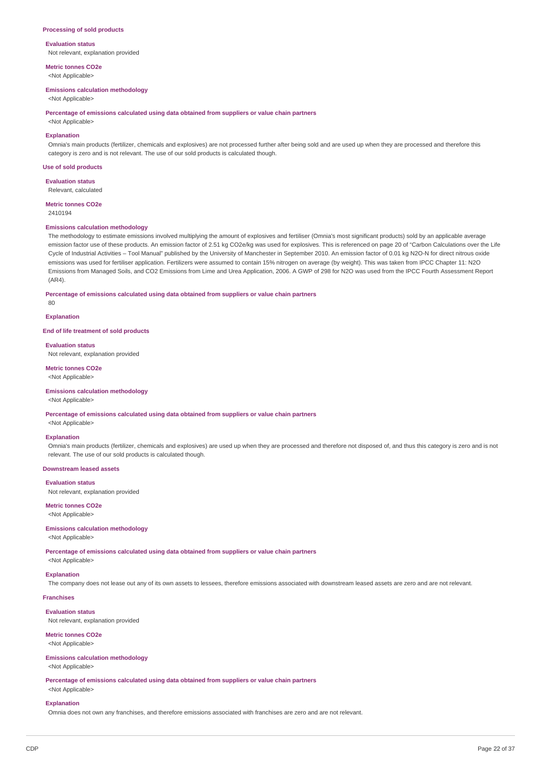#### **Processing of sold products**

### **Evaluation status**

Not relevant, explanation provided

**Metric tonnes CO2e** <Not Applicable>

#### **Emissions calculation methodology**

<Not Applicable>

**Percentage of emissions calculated using data obtained from suppliers or value chain partners**

<Not Applicable>

### **Explanation**

Omnia's main products (fertilizer, chemicals and explosives) are not processed further after being sold and are used up when they are processed and therefore this category is zero and is not relevant. The use of our sold products is calculated though.

### **Use of sold products**

**Evaluation status**

Relevant, calculated

**Metric tonnes CO2e**

2410194

### **Emissions calculation methodology**

The methodology to estimate emissions involved multiplying the amount of explosives and fertiliser (Omnia's most significant products) sold by an applicable average emission factor use of these products. An emission factor of 2.51 kg CO2e/kg was used for explosives. This is referenced on page 20 of "Carbon Calculations over the Life Cycle of Industrial Activities – Tool Manual" published by the University of Manchester in September 2010. An emission factor of 0.01 kg N2O-N for direct nitrous oxide emissions was used for fertiliser application. Fertilizers were assumed to contain 15% nitrogen on average (by weight). This was taken from IPCC Chapter 11: N2O Emissions from Managed Soils, and CO2 Emissions from Lime and Urea Application, 2006. A GWP of 298 for N2O was used from the IPCC Fourth Assessment Report (AR4).

**Percentage of emissions calculated using data obtained from suppliers or value chain partners**

**Explanation**

80

#### **End of life treatment of sold products**

**Evaluation status**

Not relevant, explanation provided

# **Metric tonnes CO2e**

<Not Applicable>

### **Emissions calculation methodology**

<Not Applicable>

**Percentage of emissions calculated using data obtained from suppliers or value chain partners**

<Not Applicable>

### **Explanation**

Omnia's main products (fertilizer, chemicals and explosives) are used up when they are processed and therefore not disposed of, and thus this category is zero and is not relevant. The use of our sold products is calculated though.

#### **Downstream leased assets**

**Evaluation status**

Not relevant, explanation provided

### **Metric tonnes CO2e**

<Not Applicable>

#### **Emissions calculation methodology**

### <Not Applicable>

**Percentage of emissions calculated using data obtained from suppliers or value chain partners**

<Not Applicable>

### **Explanation**

The company does not lease out any of its own assets to lessees, therefore emissions associated with downstream leased assets are zero and are not relevant.

# **Franchises**

**Evaluation status**

Not relevant, explanation provided

#### **Metric tonnes CO2e** <Not Applicable>

# **Emissions calculation methodology**

<Not Applicable>

**Percentage of emissions calculated using data obtained from suppliers or value chain partners** <Not Applicable>

#### **Explanation**

Omnia does not own any franchises, and therefore emissions associated with franchises are zero and are not relevant.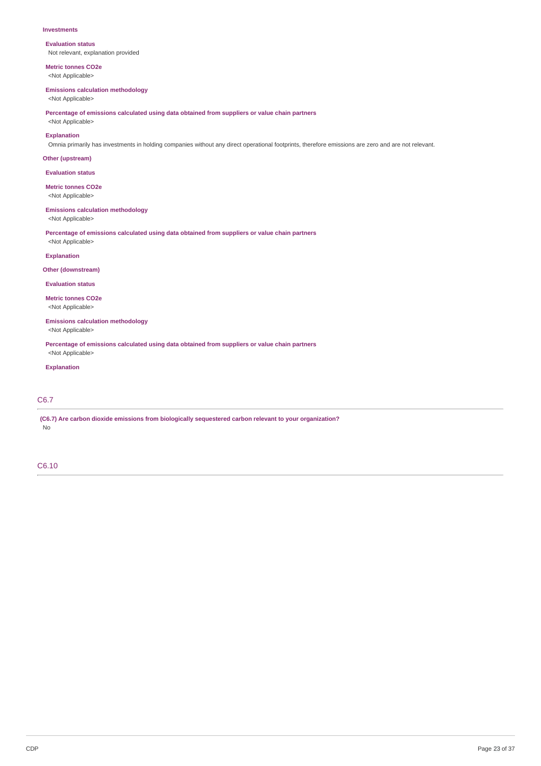#### **Investments**

**Evaluation status** Not relevant, explanation provided

**Metric tonnes CO2e** <Not Applicable>

# **Emissions calculation methodology**

<Not Applicable>

**Percentage of emissions calculated using data obtained from suppliers or value chain partners**

<Not Applicable> **Explanation**

Omnia primarily has investments in holding companies without any direct operational footprints, therefore emissions are zero and are not relevant.

### **Other (upstream)**

**Evaluation status**

# **Metric tonnes CO2e**

<Not Applicable>

### **Emissions calculation methodology**

<Not Applicable>

**Percentage of emissions calculated using data obtained from suppliers or value chain partners** <Not Applicable>

### **Explanation**

**Other (downstream)**

### **Evaluation status**

**Metric tonnes CO2e** <Not Applicable>

# **Emissions calculation methodology**

<Not Applicable>

**Percentage of emissions calculated using data obtained from suppliers or value chain partners** <Not Applicable>

### **Explanation**

# C6.7

**(C6.7) Are carbon dioxide emissions from biologically sequestered carbon relevant to your organization?** No

# C6.10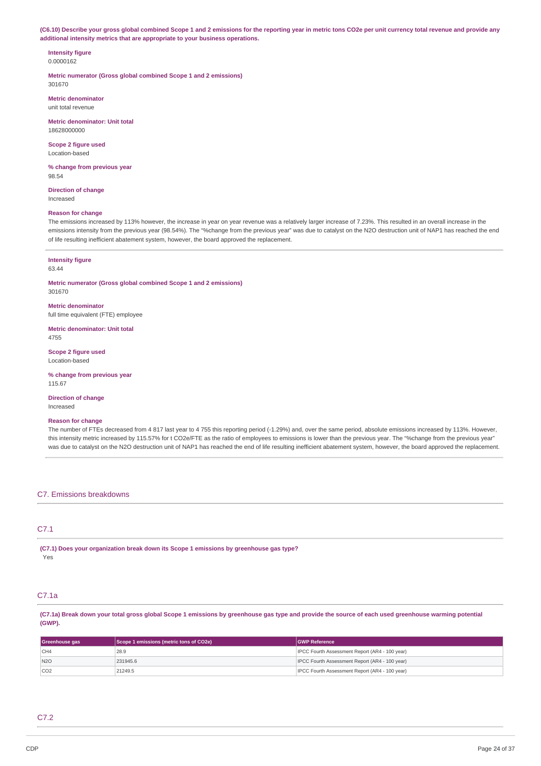(C6.10) Describe your gross global combined Scope 1 and 2 emissions for the reporting year in metric tons CO2e per unit currency total revenue and provide any **additional intensity metrics that are appropriate to your business operations.**

**Intensity figure** 0.0000162

**Metric numerator (Gross global combined Scope 1 and 2 emissions)** 301670

**Metric denominator** unit total revenue

**Metric denominator: Unit total** 18628000000

**Scope 2 figure used** Location-based

**% change from previous year** 98.54

**Direction of change** Increased

#### **Reason for change**

The emissions increased by 113% however, the increase in year on year revenue was a relatively larger increase of 7.23%. This resulted in an overall increase in the emissions intensity from the previous year (98.54%). The "%change from the previous year" was due to catalyst on the N2O destruction unit of NAP1 has reached the end of life resulting inefficient abatement system, however, the board approved the replacement.

#### **Intensity figure** 63.44

**Metric numerator (Gross global combined Scope 1 and 2 emissions)** 301670

**Metric denominator** full time equivalent (FTE) employee

**Metric denominator: Unit total** 4755

**Scope 2 figure used** Location-based

**% change from previous year** 115.67

**Direction of change** Increased

#### **Reason for change**

The number of FTEs decreased from 4 817 last year to 4 755 this reporting period (-1.29%) and, over the same period, absolute emissions increased by 113%. However, this intensity metric increased by 115.57% for t CO2e/FTE as the ratio of employees to emissions is lower than the previous year. The "%change from the previous year" was due to catalyst on the N2O destruction unit of NAP1 has reached the end of life resulting inefficient abatement system, however, the board approved the replacement.

### C7. Emissions breakdowns

# C7.1

**(C7.1) Does your organization break down its Scope 1 emissions by greenhouse gas type?** Yes

# C7.1a

(C7.1a) Break down your total gross global Scope 1 emissions by greenhouse gas type and provide the source of each used greenhouse warming potential **(GWP).**

| Greenhouse gas  | Scope 1 emissions (metric tons of CO2e) | <b>GWP Reference</b>                                  |
|-----------------|-----------------------------------------|-------------------------------------------------------|
| CH4             | 28.9                                    | <b>IPCC Fourth Assessment Report (AR4 - 100 year)</b> |
| N2O             | 231945.6                                | <b>IPCC Fourth Assessment Report (AR4 - 100 year)</b> |
| CO <sub>2</sub> | 21249.5                                 | IPCC Fourth Assessment Report (AR4 - 100 year)        |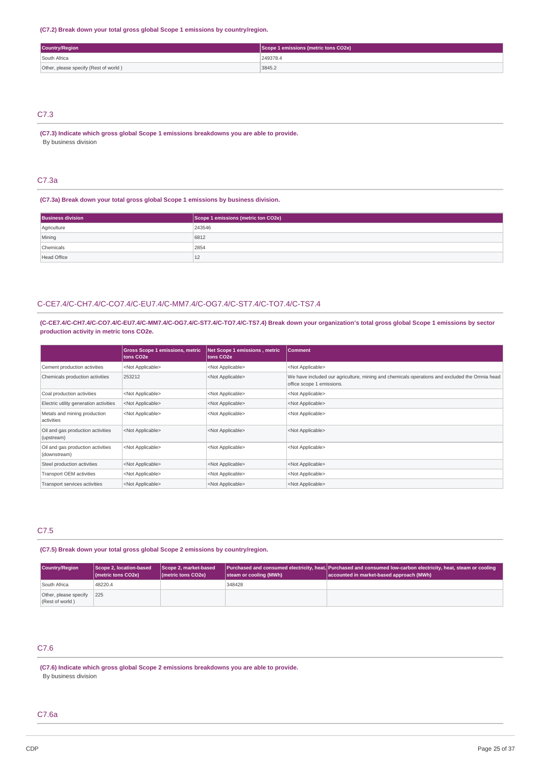### **(C7.2) Break down your total gross global Scope 1 emissions by country/region.**

| <b>Country/Region</b>                 | Scope 1 emissions (metric tons CO2e) |
|---------------------------------------|--------------------------------------|
| South Africa                          | 249378.4                             |
| Other, please specify (Rest of world) | 3845.2                               |

# C7.3

**(C7.3) Indicate which gross global Scope 1 emissions breakdowns you are able to provide.** By business division

### C7.3a

### **(C7.3a) Break down your total gross global Scope 1 emissions by business division.**

| <b>Business division</b> | Scope 1 emissions (metric ton CO2e) |
|--------------------------|-------------------------------------|
| Agriculture              | 243546                              |
| Mining                   | 6812                                |
| Chemicals                | 2854                                |
| <b>Head Office</b>       | ᅩ                                   |

# C-CE7.4/C-CH7.4/C-CO7.4/C-EU7.4/C-MM7.4/C-OG7.4/C-ST7.4/C-TO7.4/C-TS7.4

(C-CE7.4/C-CH7.4/C-CO7.4/C-EU7.4/C-MM7.4/C-OG7.4/C-ST7.4/C-TO7.4/C-TS7.4) Break down your organization's total gross global Scope 1 emissions by sector **production activity in metric tons CO2e.**

|                                                   | <b>Gross Scope 1 emissions, metric</b><br>tons CO <sub>2e</sub> | Net Scope 1 emissions, metric<br>tons CO <sub>2</sub> e | <b>Comment</b>                                                                                                             |
|---------------------------------------------------|-----------------------------------------------------------------|---------------------------------------------------------|----------------------------------------------------------------------------------------------------------------------------|
| Cement production activities                      | <not applicable=""></not>                                       | <not applicable=""></not>                               | <not applicable=""></not>                                                                                                  |
| Chemicals production activities                   | 253212                                                          | <not applicable=""></not>                               | We have included our agriculture, mining and chemicals operations and excluded the Omnia head<br>office scope 1 emissions. |
| Coal production activities                        | <not applicable=""></not>                                       | <not applicable=""></not>                               | <not applicable=""></not>                                                                                                  |
| Electric utility generation activities            | <not applicable=""></not>                                       | <not applicable=""></not>                               | <not applicable=""></not>                                                                                                  |
| Metals and mining production<br>activities        | <not applicable=""></not>                                       | <not applicable=""></not>                               | <not applicable=""></not>                                                                                                  |
| Oil and gas production activities<br>(upstream)   | <not applicable=""></not>                                       | <not applicable=""></not>                               | <not applicable=""></not>                                                                                                  |
| Oil and gas production activities<br>(downstream) | <not applicable=""></not>                                       | <not applicable=""></not>                               | <not applicable=""></not>                                                                                                  |
| Steel production activities                       | <not applicable=""></not>                                       | <not applicable=""></not>                               | <not applicable=""></not>                                                                                                  |
| Transport OEM activities                          | <not applicable=""></not>                                       | <not applicable=""></not>                               | <not applicable=""></not>                                                                                                  |
| Transport services activities                     | <not applicable=""></not>                                       | <not applicable=""></not>                               | <not applicable=""></not>                                                                                                  |

### C7.5

# **(C7.5) Break down your total gross global Scope 2 emissions by country/region.**

| Country/Region                           | Scope 2, location-based<br>(metric tons CO2e) | Scope 2, market-based<br>(metric tons CO2e) | steam or cooling (MWh) | Purchased and consumed electricity, heat, Purchased and consumed low-carbon electricity, heat, steam or cooling<br>accounted in market-based approach (MWh) |
|------------------------------------------|-----------------------------------------------|---------------------------------------------|------------------------|-------------------------------------------------------------------------------------------------------------------------------------------------------------|
| South Africa                             | 48220.4                                       |                                             | 348428                 |                                                                                                                                                             |
| Other, please specify<br>(Rest of world) | 225                                           |                                             |                        |                                                                                                                                                             |

# C7.6

**(C7.6) Indicate which gross global Scope 2 emissions breakdowns you are able to provide.** By business division

### C7.6a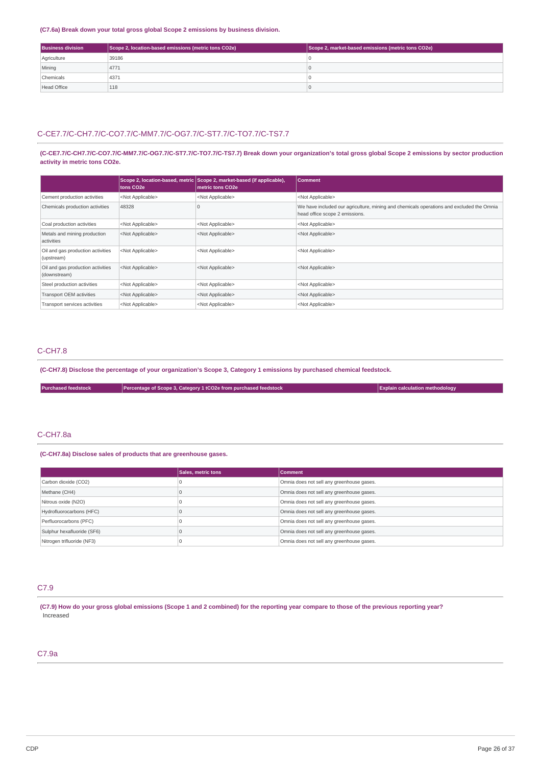### **(C7.6a) Break down your total gross global Scope 2 emissions by business division.**

| <b>Business division</b> | Scope 2, location-based emissions (metric tons CO2e) | Scope 2, market-based emissions (metric tons CO2e) |
|--------------------------|------------------------------------------------------|----------------------------------------------------|
| Agriculture              | 39186                                                |                                                    |
| Mining                   | 4771                                                 |                                                    |
| Chemicals                | 4371                                                 |                                                    |
| <b>Head Office</b>       | 118                                                  |                                                    |

# C-CE7.7/C-CH7.7/C-CO7.7/C-MM7.7/C-OG7.7/C-ST7.7/C-TO7.7/C-TS7.7

(C-CE7.7/C-CH7.7/C-CO7.7/C-MM7.7/C-OG7.7/C-ST7.7/C-TO7.7/C-TS7.7) Break down your organization's total gross global Scope 2 emissions by sector production **activity in metric tons CO2e.**

|                                                   | tons CO2e                 | Scope 2, location-based, metric Scope 2, market-based (if applicable),<br>metric tons CO2e | <b>Comment</b>                                                                                                             |
|---------------------------------------------------|---------------------------|--------------------------------------------------------------------------------------------|----------------------------------------------------------------------------------------------------------------------------|
| Cement production activities                      | <not applicable=""></not> | <not applicable=""></not>                                                                  | <not applicable=""></not>                                                                                                  |
| Chemicals production activities                   | 48328                     |                                                                                            | We have included our agriculture, mining and chemicals operations and excluded the Omnia<br>head office scope 2 emissions. |
| Coal production activities                        | <not applicable=""></not> | <not applicable=""></not>                                                                  | <not applicable=""></not>                                                                                                  |
| Metals and mining production<br>activities        | <not applicable=""></not> | <not applicable=""></not>                                                                  | <not applicable=""></not>                                                                                                  |
| Oil and gas production activities<br>(upstream)   | <not applicable=""></not> | <not applicable=""></not>                                                                  | <not applicable=""></not>                                                                                                  |
| Oil and gas production activities<br>(downstream) | <not applicable=""></not> | <not applicable=""></not>                                                                  | <not applicable=""></not>                                                                                                  |
| Steel production activities                       | <not applicable=""></not> | <not applicable=""></not>                                                                  | <not applicable=""></not>                                                                                                  |
| Transport OEM activities                          | <not applicable=""></not> | <not applicable=""></not>                                                                  | <not applicable=""></not>                                                                                                  |
| Transport services activities                     | <not applicable=""></not> | <not applicable=""></not>                                                                  | <not applicable=""></not>                                                                                                  |

# C-CH7.8

(C-CH7.8) Disclose the percentage of your organization's Scope 3, Category 1 emissions by purchased chemical feedstock.

|  | <b>Purchased feedstock</b> | Percentage of Scope 3, Category 1 tCO2e from purchased feedstock | <b>Explain calculation methodology</b> |
|--|----------------------------|------------------------------------------------------------------|----------------------------------------|
|--|----------------------------|------------------------------------------------------------------|----------------------------------------|

# C-CH7.8a

### **(C-CH7.8a) Disclose sales of products that are greenhouse gases.**

|                            | Sales, metric tons | Comment                                   |
|----------------------------|--------------------|-------------------------------------------|
| Carbon dioxide (CO2)       |                    | Omnia does not sell any greenhouse gases. |
| Methane (CH4)              |                    | Omnia does not sell any greenhouse gases. |
| Nitrous oxide (N2O)        |                    | Omnia does not sell any greenhouse gases. |
| Hydrofluorocarbons (HFC)   |                    | Omnia does not sell any greenhouse gases. |
| Perfluorocarbons (PFC)     |                    | Omnia does not sell any greenhouse gases. |
| Sulphur hexafluoride (SF6) |                    | Omnia does not sell any greenhouse gases. |
| Nitrogen trifluoride (NF3) |                    | Omnia does not sell any greenhouse gases. |

# C7.9

(C7.9) How do your gross global emissions (Scope 1 and 2 combined) for the reporting year compare to those of the previous reporting year? Increased

# C7.9a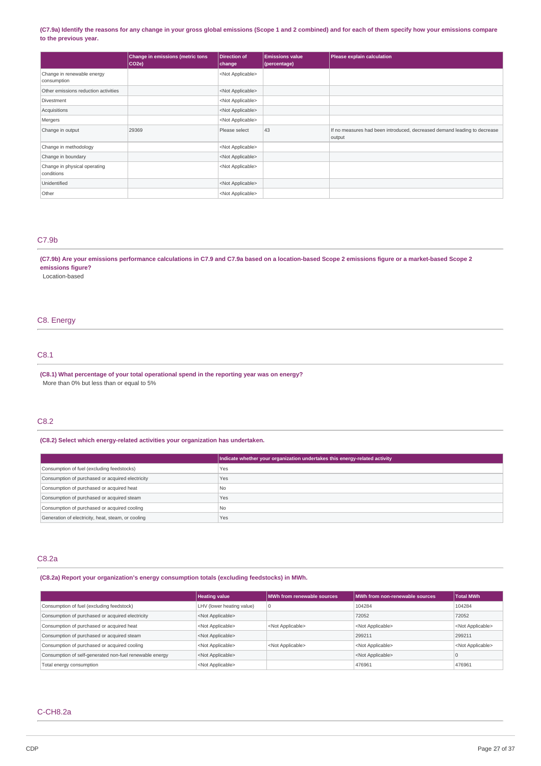### (C7.9a) Identify the reasons for any change in your gross global emissions (Scope 1 and 2 combined) and for each of them specify how your emissions compare **to the previous year.**

|                                            | Change in emissions (metric tons<br>CO2e | Direction of<br>change    | <b>Emissions value</b><br>(percentage) | Please explain calculation                                                         |
|--------------------------------------------|------------------------------------------|---------------------------|----------------------------------------|------------------------------------------------------------------------------------|
| Change in renewable energy<br>consumption  |                                          | <not applicable=""></not> |                                        |                                                                                    |
| Other emissions reduction activities       |                                          | <not applicable=""></not> |                                        |                                                                                    |
| Divestment                                 |                                          | <not applicable=""></not> |                                        |                                                                                    |
| Acquisitions                               |                                          | <not applicable=""></not> |                                        |                                                                                    |
| Mergers                                    |                                          | <not applicable=""></not> |                                        |                                                                                    |
| Change in output                           | 29369                                    | Please select             | 43                                     | If no measures had been introduced, decreased demand leading to decrease<br>output |
| Change in methodology                      |                                          | <not applicable=""></not> |                                        |                                                                                    |
| Change in boundary                         |                                          | <not applicable=""></not> |                                        |                                                                                    |
| Change in physical operating<br>conditions |                                          | <not applicable=""></not> |                                        |                                                                                    |
| Unidentified                               |                                          | <not applicable=""></not> |                                        |                                                                                    |
| Other                                      |                                          | <not applicable=""></not> |                                        |                                                                                    |

### C7.9b

(C7.9b) Are your emissions performance calculations in C7.9 and C7.9a based on a location-based Scope 2 emissions figure or a market-based Scope 2 **emissions figure?**

Location-based

# C8. Energy

# C8.1

**(C8.1) What percentage of your total operational spend in the reporting year was on energy?** More than 0% but less than or equal to 5%

# C8.2

### **(C8.2) Select which energy-related activities your organization has undertaken.**

|                                                    | Indicate whether your organization undertakes this energy-related activity |
|----------------------------------------------------|----------------------------------------------------------------------------|
| Consumption of fuel (excluding feedstocks)         | Yes                                                                        |
| Consumption of purchased or acquired electricity   | Yes                                                                        |
| Consumption of purchased or acquired heat          | l No                                                                       |
| Consumption of purchased or acquired steam         | Yes                                                                        |
| Consumption of purchased or acquired cooling       | l No                                                                       |
| Generation of electricity, heat, steam, or cooling | Yes                                                                        |

### C8.2a

**(C8.2a) Report your organization's energy consumption totals (excluding feedstocks) in MWh.**

|                                                         | <b>Heating value</b>      | MWh from renewable sources | MWh from non-renewable sources | <b>Total MWh</b>          |
|---------------------------------------------------------|---------------------------|----------------------------|--------------------------------|---------------------------|
| Consumption of fuel (excluding feedstock)               | LHV (lower heating value) |                            | 104284                         | 104284                    |
| Consumption of purchased or acquired electricity        | <not applicable=""></not> |                            | 72052                          | 72052                     |
| Consumption of purchased or acquired heat               | <not applicable=""></not> | <not applicable=""></not>  | <not applicable=""></not>      | <not applicable=""></not> |
| Consumption of purchased or acquired steam              | <not applicable=""></not> |                            | 299211                         | 299211                    |
| Consumption of purchased or acquired cooling            | <not applicable=""></not> | <not applicable=""></not>  | <not applicable=""></not>      | <not applicable=""></not> |
| Consumption of self-generated non-fuel renewable energy | <not applicable=""></not> |                            | <not applicable=""></not>      | ш                         |
| Total energy consumption                                | <not applicable=""></not> |                            | 476961                         | 476961                    |

# C-CH8.2a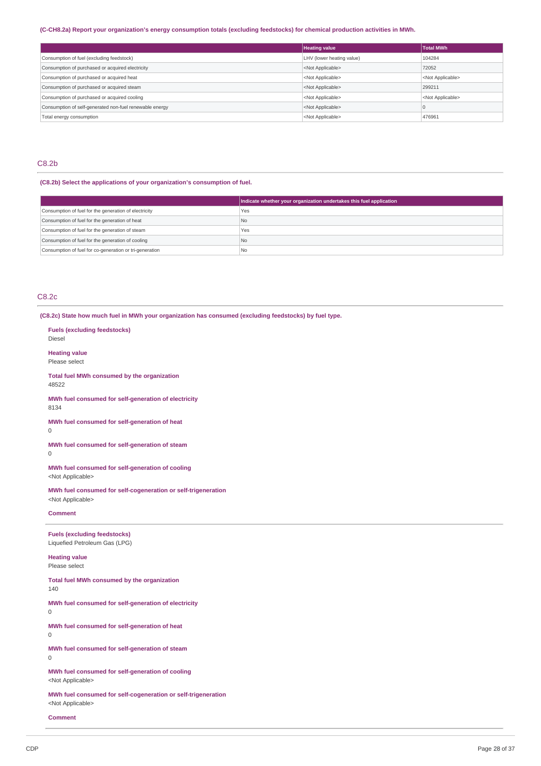# (C-CH8.2a) Report your organization's energy consumption totals (excluding feedstocks) for chemical production activities in MWh.

|                                                         | <b>Heating value</b>      | <b>Total MWh</b>          |
|---------------------------------------------------------|---------------------------|---------------------------|
| Consumption of fuel (excluding feedstock)               | LHV (lower heating value) | 104284                    |
| Consumption of purchased or acquired electricity        | <not applicable=""></not> | 72052                     |
| Consumption of purchased or acquired heat               | <not applicable=""></not> | <not applicable=""></not> |
| Consumption of purchased or acquired steam              | <not applicable=""></not> | 299211                    |
| Consumption of purchased or acquired cooling            | <not applicable=""></not> | <not applicable=""></not> |
| Consumption of self-generated non-fuel renewable energy | <not applicable=""></not> |                           |
| Total energy consumption                                | <not applicable=""></not> | 476961                    |

# C8.2b

# **(C8.2b) Select the applications of your organization's consumption of fuel.**

|                                                         | Indicate whether your organization undertakes this fuel application |
|---------------------------------------------------------|---------------------------------------------------------------------|
| Consumption of fuel for the generation of electricity   | Yes                                                                 |
| Consumption of fuel for the generation of heat          | No.                                                                 |
| Consumption of fuel for the generation of steam         | Yes                                                                 |
| Consumption of fuel for the generation of cooling       | No                                                                  |
| Consumption of fuel for co-generation or tri-generation | l No                                                                |

# C8.2c

**(C8.2c) State how much fuel in MWh your organization has consumed (excluding feedstocks) by fuel type.**

| <b>Fuels (excluding feedstocks)</b><br>Diesel                                              |
|--------------------------------------------------------------------------------------------|
| <b>Heating value</b><br>Please select                                                      |
| Total fuel MWh consumed by the organization<br>48522                                       |
| MWh fuel consumed for self-generation of electricity<br>8134                               |
| MWh fuel consumed for self-generation of heat<br>0                                         |
| MWh fuel consumed for self-generation of steam<br>0                                        |
| MWh fuel consumed for self-generation of cooling<br><not applicable=""></not>              |
| MWh fuel consumed for self-cogeneration or self-trigeneration<br><not applicable=""></not> |
| <b>Comment</b>                                                                             |
|                                                                                            |
| <b>Fuels (excluding feedstocks)</b><br>Liquefied Petroleum Gas (LPG)                       |
| <b>Heating value</b><br>Please select                                                      |
| Total fuel MWh consumed by the organization<br>140                                         |
| MWh fuel consumed for self-generation of electricity<br>0                                  |
| MWh fuel consumed for self-generation of heat<br>0                                         |
| MWh fuel consumed for self-generation of steam<br>O                                        |
| MWh fuel consumed for self-generation of cooling<br><not applicable=""></not>              |

**Comment**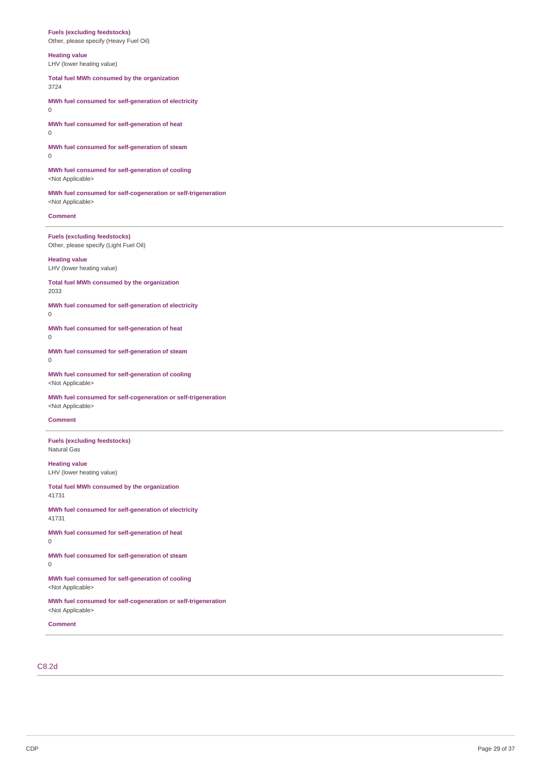### **Fuels (excluding feedstocks)**

Other, please specify (Heavy Fuel Oil)

### **Heating value**

LHV (lower heating value)

**Total fuel MWh consumed by the organization** 3724

**MWh fuel consumed for self-generation of electricity**  $\Omega$ 

**MWh fuel consumed for self-generation of heat**  $\overline{0}$ 

**MWh fuel consumed for self-generation of steam**

0

**MWh fuel consumed for self-generation of cooling** <Not Applicable>

**MWh fuel consumed for self-cogeneration or self-trigeneration** <Not Applicable>

**Comment**

**Fuels (excluding feedstocks)** Other, please specify (Light Fuel Oil)

**Heating value** LHV (lower heating value)

**Total fuel MWh consumed by the organization** 2033

**MWh fuel consumed for self-generation of electricity**

0

**MWh fuel consumed for self-generation of heat** 0

**MWh fuel consumed for self-generation of steam**  $\theta$ 

**MWh fuel consumed for self-generation of cooling** <Not Applicable>

**MWh fuel consumed for self-cogeneration or self-trigeneration** <Not Applicable>

#### **Comment**

**Fuels (excluding feedstocks)** Natural Gas

**Heating value** LHV (lower heating value)

**Total fuel MWh consumed by the organization** 41731

**MWh fuel consumed for self-generation of electricity** 41731

**MWh fuel consumed for self-generation of heat** 0

**MWh fuel consumed for self-generation of steam** 0

**MWh fuel consumed for self-generation of cooling** <Not Applicable>

**MWh fuel consumed for self-cogeneration or self-trigeneration** <Not Applicable>

**Comment**

## C8.2d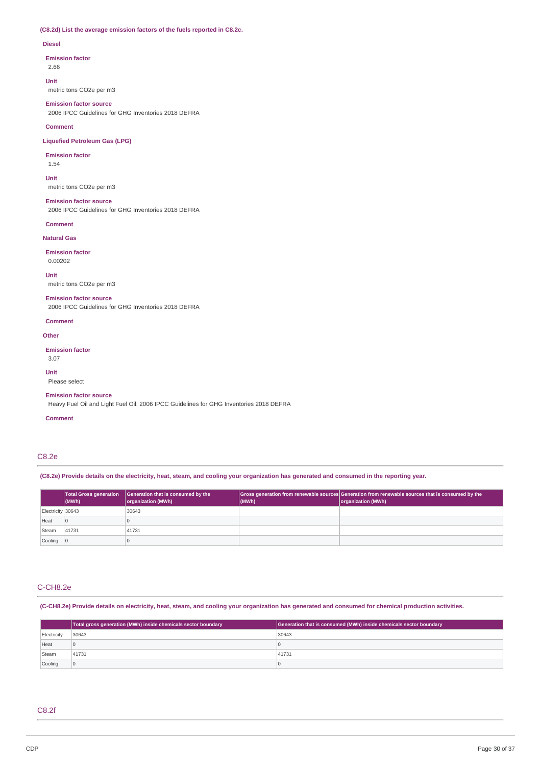# **(C8.2d) List the average emission factors of the fuels reported in C8.2c.**

### **Diesel**

#### **Emission factor**

2.66

#### **Unit**

metric tons CO2e per m3

### **Emission factor source**

2006 IPCC Guidelines for GHG Inventories 2018 DEFRA

#### **Comment**

**Liquefied Petroleum Gas (LPG)**

## **Emission factor**

1.54

# **Unit**

metric tons CO2e per m3

#### **Emission factor source**

2006 IPCC Guidelines for GHG Inventories 2018 DEFRA

### **Comment**

**Natural Gas**

# **Emission factor**

0.00202

#### **Unit**

metric tons CO2e per m3

#### **Emission factor source**

2006 IPCC Guidelines for GHG Inventories 2018 DEFRA

#### **Comment**

### **Other**

**Emission factor** 3.07

### **Unit**

Please select

#### **Emission factor source**

Heavy Fuel Oil and Light Fuel Oil: 2006 IPCC Guidelines for GHG Inventories 2018 DEFRA

### **Comment**

# C8.2e

(C8.2e) Provide details on the electricity, heat, steam, and cooling your organization has generated and consumed in the reporting year.

|                           | Total Gross generation<br>$ $ (MWh) | Generation that is consumed by the<br>organization (MWh) | (MWh) | Gross generation from renewable sources Generation from renewable sources that is consumed by the<br>organization (MWh) |
|---------------------------|-------------------------------------|----------------------------------------------------------|-------|-------------------------------------------------------------------------------------------------------------------------|
| Electricity 30643         |                                     | 30643                                                    |       |                                                                                                                         |
| Heat                      | $\overline{0}$                      |                                                          |       |                                                                                                                         |
| Steam                     | 41731                               | 41731                                                    |       |                                                                                                                         |
| $\vert$ Cooling $\vert$ 0 |                                     |                                                          |       |                                                                                                                         |

# C-CH8.2e

(C-CH8.2e) Provide details on electricity, heat, steam, and cooling your organization has generated and consumed for chemical production activities.

|             | Total gross generation (MWh) inside chemicals sector boundary | Generation that is consumed (MWh) inside chemicals sector boundary |
|-------------|---------------------------------------------------------------|--------------------------------------------------------------------|
| Electricity | 30643                                                         | 30643                                                              |
| Heat        |                                                               |                                                                    |
| Steam       | 41731                                                         | 41731                                                              |
| Cooling     | $\overline{0}$                                                |                                                                    |

# C8.2f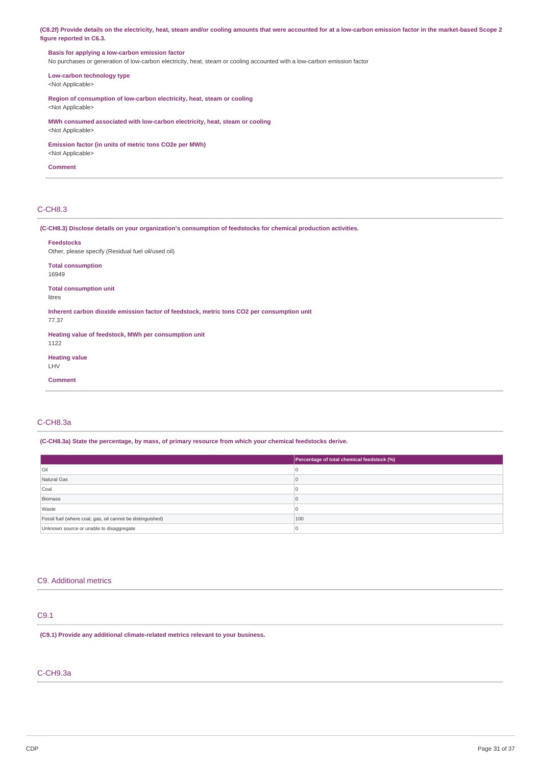(C8.2f) Provide details on the electricity, heat, steam and/or cooling amounts that were accounted for at a low-carbon emission factor in the market-based Scope 2 **figure reported in C6.3.**

# **Basis for applying a low-carbon emission factor**

No purchases or generation of low-carbon electricity, heat, steam or cooling accounted with a low-carbon emission factor

**Low-carbon technology type** <Not Applicable>

**Region of consumption of low-carbon electricity, heat, steam or cooling**

<Not Applicable>

**MWh consumed associated with low-carbon electricity, heat, steam or cooling** <Not Applicable>

**Emission factor (in units of metric tons CO2e per MWh)**

<Not Applicable>

**Comment**

# C-CH8.3

**(C-CH8.3) Disclose details on your organization's consumption of feedstocks for chemical production activities.**

| <b>Feedstocks</b><br>Other, please specify (Residual fuel oil/used oil) |                                                                                            |
|-------------------------------------------------------------------------|--------------------------------------------------------------------------------------------|
| <b>Total consumption</b><br>16949                                       |                                                                                            |
| <b>Total consumption unit</b><br>litres                                 |                                                                                            |
| 77.37                                                                   | Inherent carbon dioxide emission factor of feedstock, metric tons CO2 per consumption unit |
| Heating value of feedstock, MWh per consumption unit<br>1122            |                                                                                            |
| <b>Heating value</b><br>LHV                                             |                                                                                            |
| <b>Comment</b>                                                          |                                                                                            |

# C-CH8.3a

**(C-CH8.3a) State the percentage, by mass, of primary resource from which your chemical feedstocks derive.**

|                                                            | Percentage of total chemical feedstock (%) |
|------------------------------------------------------------|--------------------------------------------|
| <b>Oil</b>                                                 |                                            |
| Natural Gas                                                |                                            |
| Coal                                                       |                                            |
| Biomass                                                    |                                            |
| Waste                                                      |                                            |
| Fossil fuel (where coal, gas, oil cannot be distinguished) | 100                                        |
| Unknown source or unable to disaggregate                   |                                            |

### C9. Additional metrics

# C9.1

**(C9.1) Provide any additional climate-related metrics relevant to your business.**

# C-CH9.3a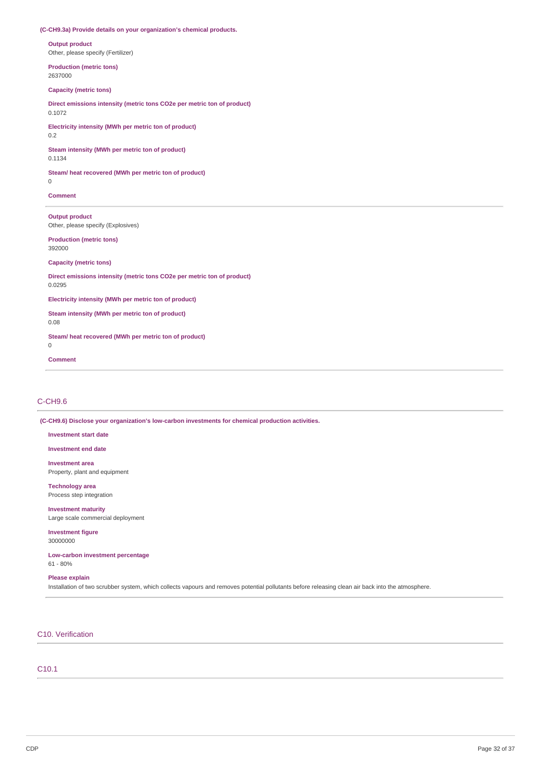### **(C-CH9.3a) Provide details on your organization's chemical products.**

**Output product** Other, please specify (Fertilizer)

**Production (metric tons)** 2637000

# **Capacity (metric tons)**

**Direct emissions intensity (metric tons CO2e per metric ton of product)** 0.1072

**Electricity intensity (MWh per metric ton of product)** 0.2

**Steam intensity (MWh per metric ton of product)** 0.1134

**Steam/ heat recovered (MWh per metric ton of product)**

0

**Comment**

**Output product** Other, please specify (Explosives)

**Production (metric tons)** 392000

**Capacity (metric tons)**

**Direct emissions intensity (metric tons CO2e per metric ton of product)** 0.0295

**Electricity intensity (MWh per metric ton of product)**

**Steam intensity (MWh per metric ton of product)** 0.08

**Steam/ heat recovered (MWh per metric ton of product)** 0

**Comment**

### C-CH9.6

**(C-CH9.6) Disclose your organization's low-carbon investments for chemical production activities.**

**Investment start date**

**Investment end date**

**Investment area** Property, plant and equipment

**Technology area** Process step integration

**Investment maturity** Large scale commercial deployment

**Investment figure** 30000000

**Low-carbon investment percentage** 61 - 80%

## **Please explain**

Installation of two scrubber system, which collects vapours and removes potential pollutants before releasing clean air back into the atmosphere.

C10. Verification

C10.1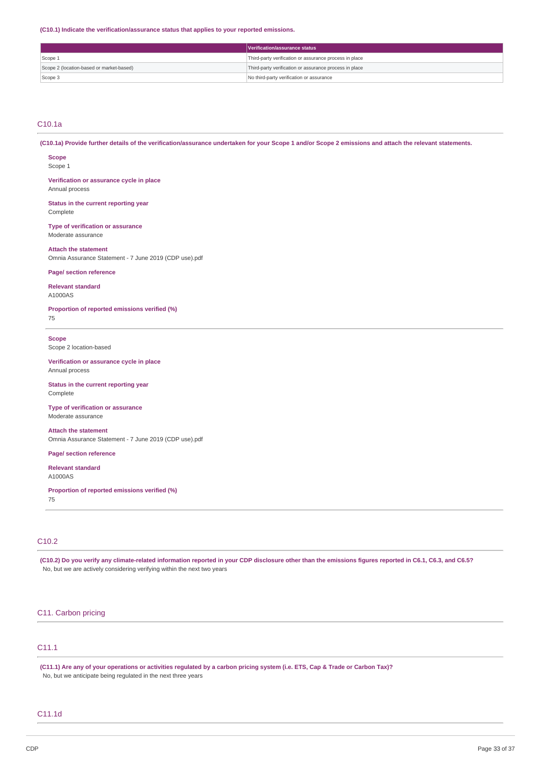**(C10.1) Indicate the verification/assurance status that applies to your reported emissions.**

|                                          | Verification/assurance status                          |
|------------------------------------------|--------------------------------------------------------|
| Scope 1                                  | Third-party verification or assurance process in place |
| Scope 2 (location-based or market-based) | Third-party verification or assurance process in place |
| Scope 3                                  | No third-party verification or assurance               |

### C10.1a

(C10.1a) Provide further details of the verification/assurance undertaken for your Scope 1 and/or Scope 2 emissions and attach the relevant statements.

**Scope** Scope 1

**Verification or assurance cycle in place** Annual process

**Status in the current reporting year** Complete

**Type of verification or assurance** Moderate assurance

**Attach the statement** Omnia Assurance Statement - 7 June 2019 (CDP use).pdf

### **Page/ section reference**

**Relevant standard**

A1000AS

**Proportion of reported emissions verified (%)** 75

**Scope**

Scope 2 location-based

**Verification or assurance cycle in place** Annual process

**Status in the current reporting year** Complete

**Type of verification or assurance** Moderate assurance

**Attach the statement** Omnia Assurance Statement - 7 June 2019 (CDP use).pdf

**Page/ section reference**

**Relevant standard** A1000AS

**Proportion of reported emissions verified (%)** 75

# C10.2

(C10.2) Do you verify any climate-related information reported in your CDP disclosure other than the emissions figures reported in C6.1, C6.3, and C6.5? No, but we are actively considering verifying within the next two years

# C11. Carbon pricing

# C11.1

(C11.1) Are any of your operations or activities regulated by a carbon pricing system (i.e. ETS, Cap & Trade or Carbon Tax)? No, but we anticipate being regulated in the next three years

# C11.1d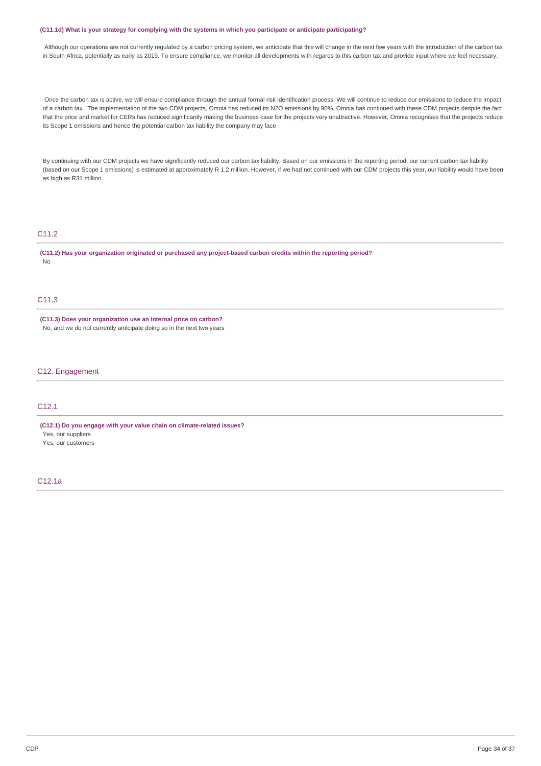#### (C11.1d) What is your strategy for complying with the systems in which you participate or anticipate participating?

Although our operations are not currently regulated by a carbon pricing system, we anticipate that this will change in the next few years with the introduction of the carbon tax in South Africa, potentially as early as 2019. To ensure compliance, we monitor all developments with regards to this carbon tax and provide input where we feel necessary.

Once the carbon tax is active, we will ensure compliance through the annual formal risk identification process. We will continue to reduce our emissions to reduce the impact of a carbon tax. The implementation of the two CDM projects, Omnia has reduced its N2O emissions by 90%. Omnia has continued with these CDM projects despite the fact that the price and market for CERs has reduced significantly making the business case for the projects very unattractive. However, Omnia recognises that the projects reduce its Scope 1 emissions and hence the potential carbon tax liability the company may face

By continuing with our CDM projects we have significantly reduced our carbon tax liability. Based on our emissions in the reporting period, our current carbon tax liability (based on our Scope 1 emissions) is estimated at approximately R 1.2 million. However, if we had not continued with our CDM projects this year, our liability would have been as high as R31 million.

## C11.2

**(C11.2) Has your organization originated or purchased any project-based carbon credits within the reporting period?** No

# C11.3

**(C11.3) Does your organization use an internal price on carbon?** No, and we do not currently anticipate doing so in the next two years

## C12. Engagement

# C12.1

**(C12.1) Do you engage with your value chain on climate-related issues?** Yes, our suppliers

Yes, our customers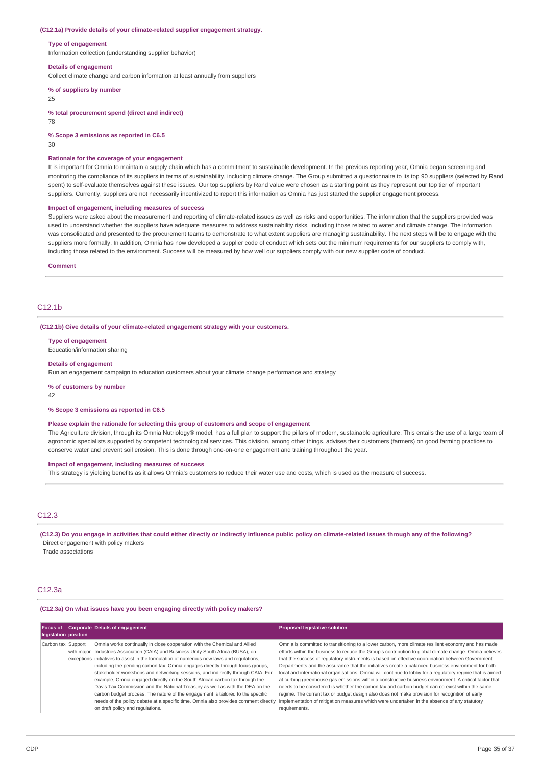#### **(C12.1a) Provide details of your climate-related supplier engagement strategy.**

#### **Type of engagement**

Information collection (understanding supplier behavior)

#### **Details of engagement**

Collect climate change and carbon information at least annually from suppliers

### **% of suppliers by number**

25

#### **% total procurement spend (direct and indirect)**

78

**% Scope 3 emissions as reported in C6.5**

30

#### **Rationale for the coverage of your engagement**

It is important for Omnia to maintain a supply chain which has a commitment to sustainable development. In the previous reporting year, Omnia began screening and monitoring the compliance of its suppliers in terms of sustainability, including climate change. The Group submitted a questionnaire to its top 90 suppliers (selected by Rand spent) to self-evaluate themselves against these issues. Our top suppliers by Rand value were chosen as a starting point as they represent our top tier of important suppliers. Currently, suppliers are not necessarily incentivized to report this information as Omnia has just started the supplier engagement process.

#### **Impact of engagement, including measures of success**

Suppliers were asked about the measurement and reporting of climate-related issues as well as risks and opportunities. The information that the suppliers provided was used to understand whether the suppliers have adequate measures to address sustainability risks, including those related to water and climate change. The information was consolidated and presented to the procurement teams to demonstrate to what extent suppliers are managing sustainability. The next steps will be to engage with the suppliers more formally. In addition, Omnia has now developed a supplier code of conduct which sets out the minimum requirements for our suppliers to comply with, including those related to the environment. Success will be measured by how well our suppliers comply with our new supplier code of conduct.

#### **Comment**

### $C12.1<sub>b</sub>$

**(C12.1b) Give details of your climate-related engagement strategy with your customers.**

**Type of engagement**

Education/information sharing

#### **Details of engagement**

Run an engagement campaign to education customers about your climate change performance and strategy

**% of customers by number**

42

### **% Scope 3 emissions as reported in C6.5**

### **Please explain the rationale for selecting this group of customers and scope of engagement**

The Agriculture division, through its Omnia Nutriology® model, has a full plan to support the pillars of modern, sustainable agriculture. This entails the use of a large team of agronomic specialists supported by competent technological services. This division, among other things, advises their customers (farmers) on good farming practices to conserve water and prevent soil erosion. This is done through one-on-one engagement and training throughout the year.

#### **Impact of engagement, including measures of success**

This strategy is yielding benefits as it allows Omnia's customers to reduce their water use and costs, which is used as the measure of success.

# C12.3

(C12.3) Do you engage in activities that could either directly or indirectly influence public policy on climate-related issues through any of the following? Direct engagement with policy makers

Trade associations

#### C12.3a

### **(C12.3a) On what issues have you been engaging directly with policy makers?**

| Focus of<br>legislation position | Corporate Details of engagement                                                                                                                                                                                                                                                                                                                                                                                                                                                                                                                                                                                                                                                                                                                                                                                    | <b>Proposed legislative solution</b>                                                                                                                                                                                                                                                                                                                                                                                                                                                                                                                                                                                                                                                                                                                                                                                                                                                                                                                                |
|----------------------------------|--------------------------------------------------------------------------------------------------------------------------------------------------------------------------------------------------------------------------------------------------------------------------------------------------------------------------------------------------------------------------------------------------------------------------------------------------------------------------------------------------------------------------------------------------------------------------------------------------------------------------------------------------------------------------------------------------------------------------------------------------------------------------------------------------------------------|---------------------------------------------------------------------------------------------------------------------------------------------------------------------------------------------------------------------------------------------------------------------------------------------------------------------------------------------------------------------------------------------------------------------------------------------------------------------------------------------------------------------------------------------------------------------------------------------------------------------------------------------------------------------------------------------------------------------------------------------------------------------------------------------------------------------------------------------------------------------------------------------------------------------------------------------------------------------|
| Carbon tax Support               | Omnia works continually in close cooperation with the Chemical and Allied<br>with major   Industries Association (CAIA) and Business Unity South Africa (BUSA), on<br>exceptions initiatives to assist in the formulation of numerous new laws and regulations,<br>including the pending carbon tax. Omnia engages directly through focus groups,<br>stakeholder workshops and networking sessions, and indirectly through CAIA. For<br>example, Omnia engaged directly on the South African carbon tax through the<br>Davis Tax Commission and the National Treasury as well as with the DEA on the<br>carbon budget process. The nature of the engagement is tailored to the specific<br>needs of the policy debate at a specific time. Omnia also provides comment directly<br>on draft policy and regulations. | Omnia is committed to transitioning to a lower carbon, more climate resilient economy and has made<br>efforts within the business to reduce the Group's contribution to global climate change. Omnia believes<br>that the success of requlatory instruments is based on effective coordination between Government<br>Departments and the assurance that the initiatives create a balanced business environment for both<br>local and international organisations. Omnia will continue to lobby for a regulatory regime that is aimed<br>at curbing greenhouse gas emissions within a constructive business environment. A critical factor that<br>needs to be considered is whether the carbon tax and carbon budget can co-exist within the same<br>regime. The current tax or budget design also does not make provision for recognition of early<br>implementation of mitigation measures which were undertaken in the absence of any statutory<br>requirements. |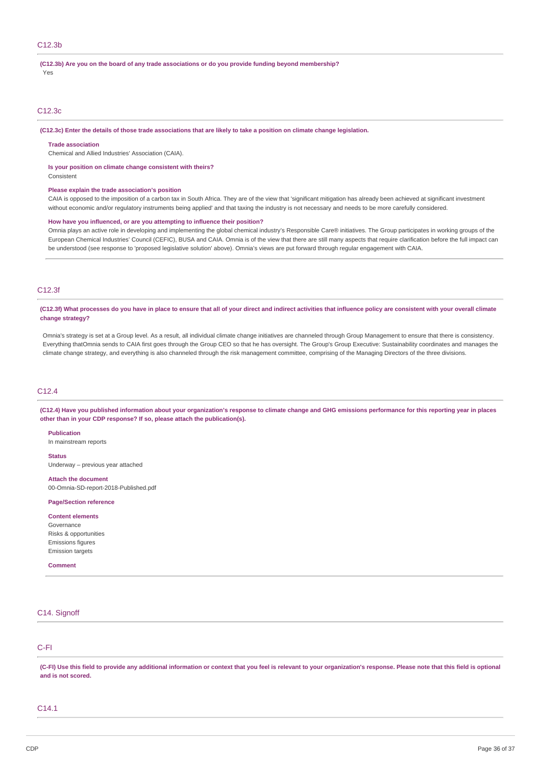# **(C12.3b) Are you on the board of any trade associations or do you provide funding beyond membership?**

Yes

### C12.3c

(C12.3c) Enter the details of those trade associations that are likely to take a position on climate change legislation.

#### **Trade association**

Chemical and Allied Industries' Association (CAIA).

#### **Is your position on climate change consistent with theirs?**

Consistent

#### **Please explain the trade association's position**

CAIA is opposed to the imposition of a carbon tax in South Africa. They are of the view that 'significant mitigation has already been achieved at significant investment without economic and/or regulatory instruments being applied' and that taxing the industry is not necessary and needs to be more carefully considered.

#### **How have you influenced, or are you attempting to influence their position?**

Omnia plays an active role in developing and implementing the global chemical industry's Responsible Care® initiatives. The Group participates in working groups of the European Chemical Industries' Council (CEFIC), BUSA and CAIA. Omnia is of the view that there are still many aspects that require clarification before the full impact can be understood (see response to 'proposed legislative solution' above). Omnia's views are put forward through regular engagement with CAIA.

# C12.3f

(C12.3f) What processes do you have in place to ensure that all of your direct and indirect activities that influence policy are consistent with your overall climate **change strategy?**

Omnia's strategy is set at a Group level. As a result, all individual climate change initiatives are channeled through Group Management to ensure that there is consistency. Everything thatOmnia sends to CAIA first goes through the Group CEO so that he has oversight. The Group's Group Executive: Sustainability coordinates and manages the climate change strategy, and everything is also channeled through the risk management committee, comprising of the Managing Directors of the three divisions.

## C12.4

(C12.4) Have you published information about your organization's response to climate change and GHG emissions performance for this reporting year in places **other than in your CDP response? If so, please attach the publication(s).**

### **Publication**

In mainstream reports

### **Status**

Underway – previous year attached

**Attach the document** 00-Omnia-SD-report-2018-Published.pdf

#### **Page/Section reference**

#### **Content elements**

Governance Risks & opportunities Emissions figures Emission targets

### **Comment**

## C14. Signoff

## C-FI

(C-FI) Use this field to provide any additional information or context that you feel is relevant to your organization's response. Please note that this field is optional **and is not scored.**

## C14.1